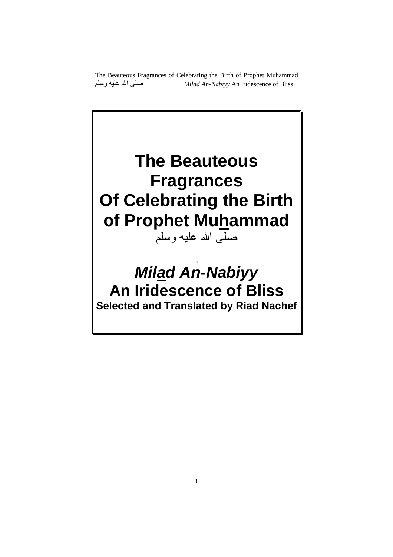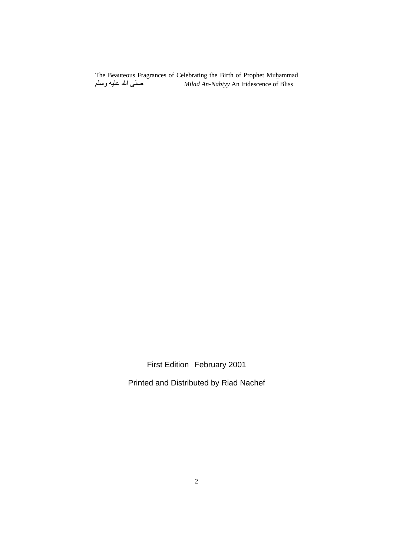First Edition February 2001

Printed and Distributed by Riad Nachef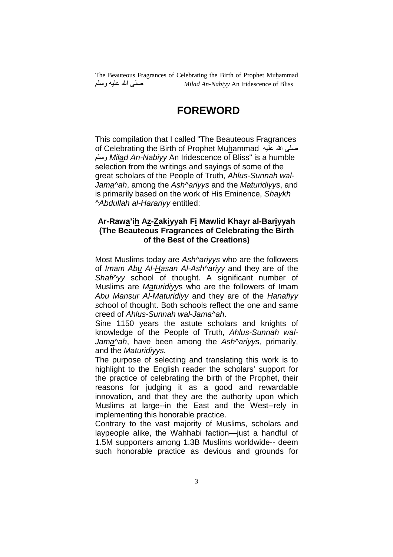# **FOREWORD**

This compilation that I called "The Beauteous Fragrances صلى الله عليه of Celebrating the Birth of Prophet Mu<u>h</u>ammad وسلم *Mil<u>a</u>d An-Nabiyy* An Iridescence of Bliss" is a humble selection from the writings and sayings of some of the great scholars of the People of Truth, Ahlus-Sunnah wal-Jama^ah, among the Ash^ariyys and the Maturidiyys, and is primarily based on the work of His Eminence, Shaykh ^Abdullah al-Harariyy entitled:

#### **Ar-Rawa'ih Az-Zakiyyah Fi Mawlid Khayr al-Bariyyah (The Beauteous Fragrances of Celebrating the Birth of the Best of the Creations)**

Most Muslims today are Ash^ariyys who are the followers of Imam Abu Al-Hasan Al-Ash^ariyy and they are of the Shafi<sup>*Ny*</sup> school of thought. A significant number of Muslims are Maturidiyys who are the followers of Imam Abu Mansur Al-Maturidiyy and they are of the Hanafiyy school of thought. Both schools reflect the one and same creed of Ahlus-Sunnah wal-Jama^ah.

Sine 1150 years the astute scholars and knights of knowledge of the People of Truth, Ahlus-Sunnah wal-Jama^ah, have been among the Ash^ariyys, primarily, and the Maturidiyys.

The purpose of selecting and translating this work is to highlight to the English reader the scholars' support for the practice of celebrating the birth of the Prophet, their reasons for judging it as a good and rewardable innovation, and that they are the authority upon which Muslims at large--in the East and the West--rely in implementing this honorable practice.

Contrary to the vast majority of Muslims, scholars and laypeople alike, the Wahhabi faction—just a handful of 1.5M supporters among 1.3B Muslims worldwide-- deem such honorable practice as devious and grounds for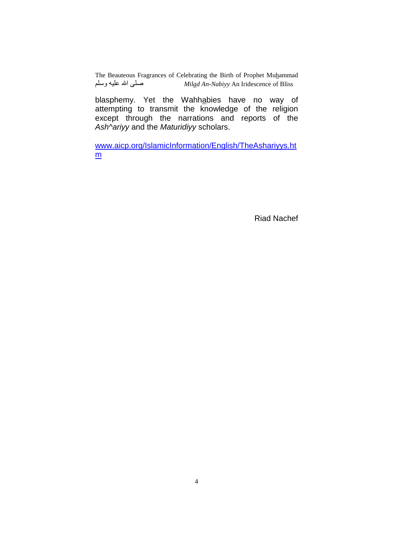blasphemy. Yet the Wahhabies have no way of attempting to transmit the knowledge of the religion except through the narrations and reports of the Ash^ariyy and the Maturidiyy scholars.

www.aicp.org/IslamicInformation/English/TheAshariyys.ht m

Riad Nachef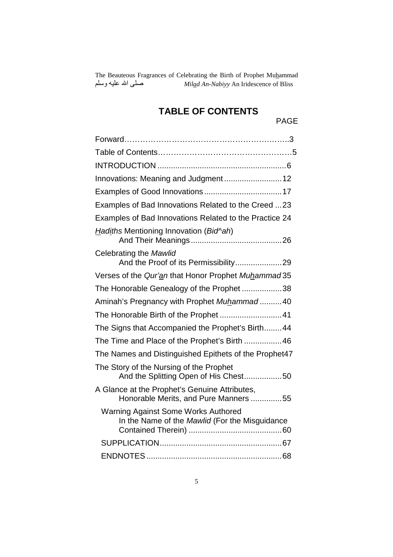# **TABLE OF CONTENTS**

PAGE

| Innovations: Meaning and Judgment 12                                                         |
|----------------------------------------------------------------------------------------------|
|                                                                                              |
| Examples of Bad Innovations Related to the Creed 23                                          |
| Examples of Bad Innovations Related to the Practice 24                                       |
| Hadiths Mentioning Innovation (Bid <sup>N</sup> ah)                                          |
| Celebrating the Mawlid<br>And the Proof of its Permissibility29                              |
| Verses of the Qur'an that Honor Prophet Muhammad 35                                          |
| The Honorable Genealogy of the Prophet38                                                     |
| Aminah's Pregnancy with Prophet Muhammad40                                                   |
| The Honorable Birth of the Prophet  41                                                       |
| The Signs that Accompanied the Prophet's Birth44                                             |
| The Time and Place of the Prophet's Birth  46                                                |
| The Names and Distinguished Epithets of the Prophet47                                        |
| The Story of the Nursing of the Prophet<br>And the Splitting Open of His Chest50             |
| A Glance at the Prophet's Genuine Attributes,<br>Honorable Merits, and Pure Manners 55       |
| <b>Warning Against Some Works Authored</b><br>In the Name of the Mawlid (For the Misguidance |
|                                                                                              |
|                                                                                              |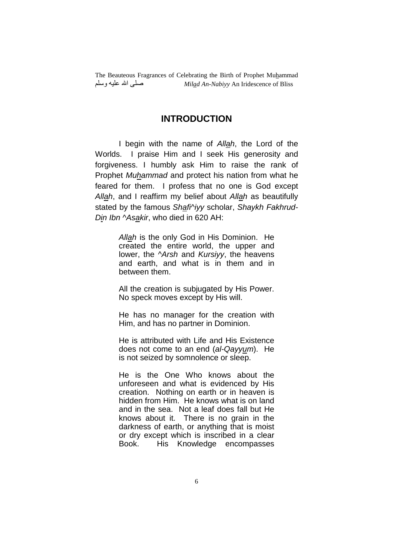#### **INTRODUCTION**

 I begin with the name of Allah, the Lord of the Worlds. I praise Him and I seek His generosity and forgiveness. I humbly ask Him to raise the rank of Prophet Muhammad and protect his nation from what he feared for them. I profess that no one is God except Allah, and I reaffirm my belief about Allah as beautifully stated by the famous Shafi<sup>k</sup>ivy scholar, Shaykh Fakhrud-Din Ibn ^Asakir, who died in 620 AH:

> Allah is the only God in His Dominion. He created the entire world, the upper and lower, the *Arsh* and *Kursiyy*, the heavens and earth, and what is in them and in between them.

> All the creation is subjugated by His Power. No speck moves except by His will.

> He has no manager for the creation with Him, and has no partner in Dominion.

> He is attributed with Life and His Existence does not come to an end (al-Qayyum). He is not seized by somnolence or sleep.

> He is the One Who knows about the unforeseen and what is evidenced by His creation. Nothing on earth or in heaven is hidden from Him. He knows what is on land and in the sea. Not a leaf does fall but He knows about it. There is no grain in the darkness of earth, or anything that is moist or dry except which is inscribed in a clear Book. His Knowledge encompasses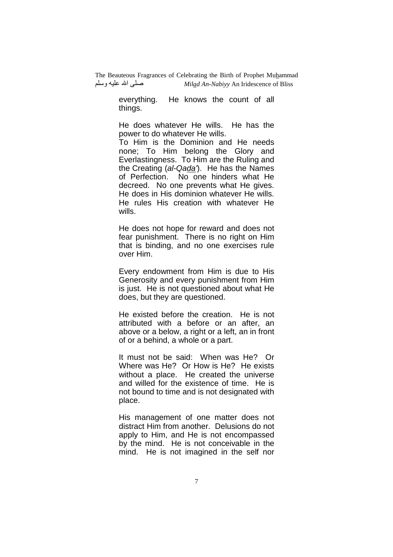> everything. He knows the count of all things.

> He does whatever He wills. He has the power to do whatever He wills.

> To Him is the Dominion and He needs none; To Him belong the Glory and Everlastingness. To Him are the Ruling and the Creating (al-Qada'). He has the Names of Perfection. No one hinders what He decreed. No one prevents what He gives. He does in His dominion whatever He wills. He rules His creation with whatever He wills.

> He does not hope for reward and does not fear punishment. There is no right on Him that is binding, and no one exercises rule over Him.

> Every endowment from Him is due to His Generosity and every punishment from Him is just. He is not questioned about what He does, but they are questioned.

> He existed before the creation. He is not attributed with a before or an after, an above or a below, a right or a left, an in front of or a behind, a whole or a part.

> It must not be said: When was He? Or Where was He? Or How is He? He exists without a place. He created the universe and willed for the existence of time. He is not bound to time and is not designated with place.

> His management of one matter does not distract Him from another. Delusions do not apply to Him, and He is not encompassed by the mind. He is not conceivable in the mind. He is not imagined in the self nor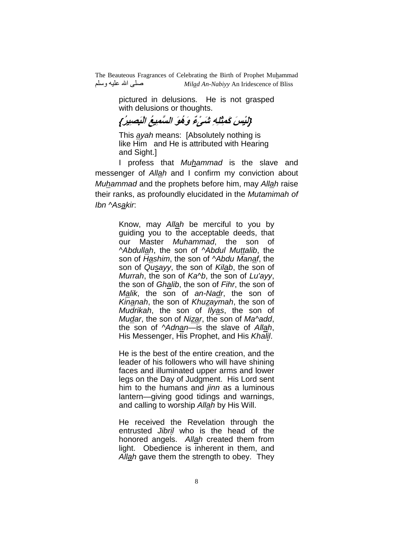> pictured in delusions. He is not grasped with delusions or thoughts.

**{لَيْسَ كَمِثْلِهِ شَىْءٌ وَهُوَ السَّميعُ الْبَصيرُ}** 

This ayah means: [Absolutely nothing is like Him and He is attributed with Hearing and Sight.]

 I profess that Muhammad is the slave and messenger of Allah and I confirm my conviction about Muhammad and the prophets before him, may Allah raise their ranks, as profoundly elucidated in the Mutamimah of Ibn ^Asakir.

> Know, may Allah be merciful to you by guiding you to the acceptable deeds, that our Master Muhammad, the son of ^Abdullah, the son of ^Abdul Muttalib, the son of Hashim, the son of ^Abdu Manaf, the son of Qusayy, the son of Kilab, the son of Murrah, the son of Ka^b, the son of Lu'ayy, the son of Ghalib, the son of Fihr, the son of Malik, the son of an-Nadr, the son of Kinanah, the son of Khuzaymah, the son of Mudrikah, the son of Ilyas, the son of Mudar, the son of Nizar, the son of Ma^add, the son of  $\Delta$ dnan—is the slave of Allah, His Messenger, His Prophet, and His Khalil.

> He is the best of the entire creation, and the leader of his followers who will have shining faces and illuminated upper arms and lower legs on the Day of Judgment. His Lord sent him to the humans and *jinn* as a luminous lantern—giving good tidings and warnings, and calling to worship Allah by His Will.

> He received the Revelation through the entrusted Jibril who is the head of the honored angels. Allah created them from light. Obedience is inherent in them, and Allah gave them the strength to obey. They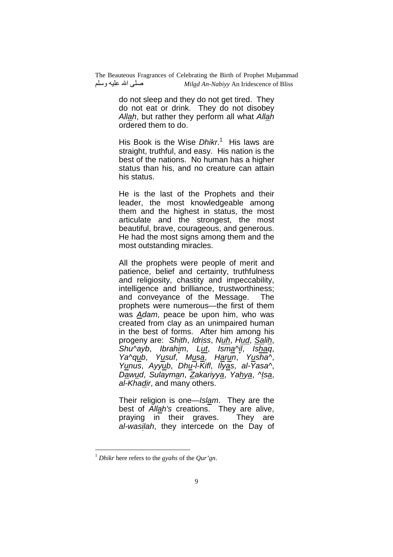> do not sleep and they do not get tired. They do not eat or drink. They do not disobey Allah, but rather they perform all what Allah ordered them to do.

> His Book is the Wise *Dhikr*.<sup>1</sup> His laws are straight, truthful, and easy. His nation is the best of the nations. No human has a higher status than his, and no creature can attain his status.

> He is the last of the Prophets and their leader, the most knowledgeable among them and the highest in status, the most articulate and the strongest, the most beautiful, brave, courageous, and generous. He had the most signs among them and the most outstanding miracles.

> All the prophets were people of merit and patience, belief and certainty, truthfulness and religiosity, chastity and impeccability, intelligence and brilliance, trustworthiness; and conveyance of the Message. The prophets were numerous—the first of them was Adam, peace be upon him, who was created from clay as an unimpaired human in the best of forms. After him among his progeny are: Shith, Idriss, Nuh, Hud, Salih, Shu^ayb, Ibrahim, Lut, Isma^il, Ishaq, Ya^qub, Yusuf, Musa, Harun, Yusha^, Yunus, Ayyub, Dhu-l-Kifl, Ilyas, al-Yasa^, Dawud, Sulayman, Zakariyya, Yahya, ^Isa, al-Khadir, and many others.

> Their religion is one—Islam. They are the best of Allah's creations. They are alive, praying in their graves. They are al-wasilah, they intercede on the Day of

 $\overline{a}$ 

<sup>1</sup> *Dhikr* here refers to the *ayahs* of the *Qur'an*.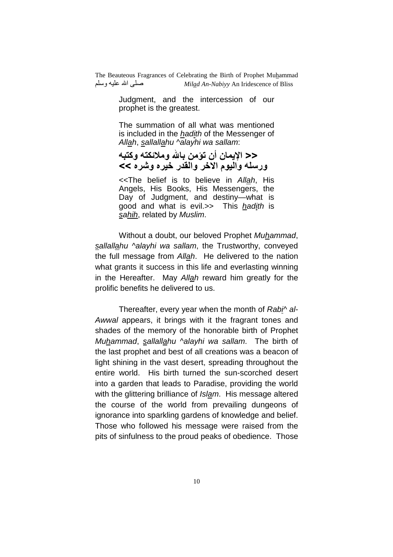> Judgment, and the intercession of our prophet is the greatest.

> The summation of all what was mentioned is included in the *hadith* of the Messenger of Allah, sallallahu  $\sqrt{a}$ layhi wa sallam:

<< الإيما*ن* أن تؤمن بالله وملائكته وكتبه ورسله واليوم الاخر والقدر خيره وشره >>

<<The belief is to believe in Allah, His Angels, His Books, His Messengers, the Day of Judgment, and destiny—what is good and what is evil.>> This hadith is sahih, related by Muslim.

 Without a doubt, our beloved Prophet Muhammad, sallallahu ^alayhi wa sallam, the Trustworthy, conveyed the full message from Allah. He delivered to the nation what grants it success in this life and everlasting winning in the Hereafter. May Allah reward him greatly for the prolific benefits he delivered to us.

Thereafter, every year when the month of Rabi^ al-Awwal appears, it brings with it the fragrant tones and shades of the memory of the honorable birth of Prophet Muhammad, sallallahu ^alayhi wa sallam. The birth of the last prophet and best of all creations was a beacon of light shining in the vast desert, spreading throughout the entire world. His birth turned the sun-scorched desert into a garden that leads to Paradise, providing the world with the glittering brilliance of *Islam*. His message altered the course of the world from prevailing dungeons of ignorance into sparkling gardens of knowledge and belief. Those who followed his message were raised from the pits of sinfulness to the proud peaks of obedience. Those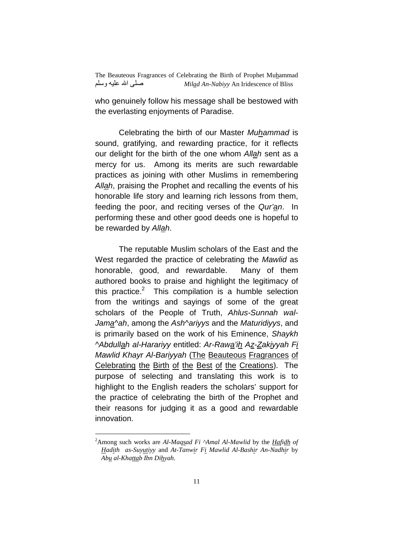who genuinely follow his message shall be bestowed with the everlasting enjoyments of Paradise.

 Celebrating the birth of our Master Muhammad is sound, gratifying, and rewarding practice, for it reflects our delight for the birth of the one whom Allah sent as a mercy for us. Among its merits are such rewardable practices as joining with other Muslims in remembering Allah, praising the Prophet and recalling the events of his honorable life story and learning rich lessons from them, feeding the poor, and reciting verses of the Qur'an. In performing these and other good deeds one is hopeful to be rewarded by Allah.

 The reputable Muslim scholars of the East and the West regarded the practice of celebrating the Mawlid as honorable, good, and rewardable. Many of them authored books to praise and highlight the legitimacy of this practice. $2$  This compilation is a humble selection from the writings and sayings of some of the great scholars of the People of Truth, Ahlus-Sunnah wal-Jama^ah, among the Ash^ariyys and the Maturidiyys, and is primarily based on the work of his Eminence, Shaykh ^Abdullah al-Harariyy entitled: Ar-Rawa'ih Az-Zakiyyah Fi Mawlid Khayr Al-Bariyyah (The Beauteous Fragrances of Celebrating the Birth of the Best of the Creations). The purpose of selecting and translating this work is to highlight to the English readers the scholars' support for the practice of celebrating the birth of the Prophet and their reasons for judging it as a good and rewardable innovation.

 $\overline{a}$ 

<sup>2</sup>Among such works are *Al-Maqsad Fi ^Amal Al-Mawlid* by the *Hafidh of Hadith as-Suyutiyy* and *At-Tanwir Fi Mawlid Al-Bashir An-Nadhir* by *Abu al-Khattab Ibn Dihyah*.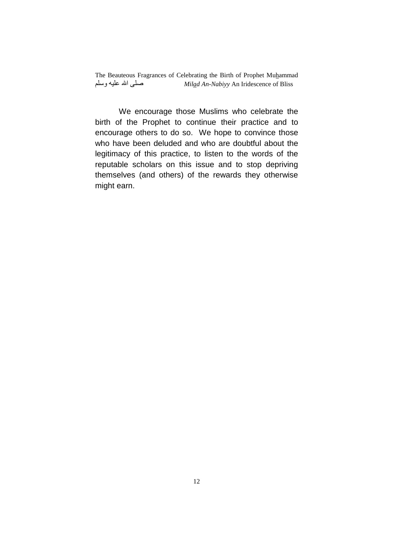We encourage those Muslims who celebrate the birth of the Prophet to continue their practice and to encourage others to do so. We hope to convince those who have been deluded and who are doubtful about the legitimacy of this practice, to listen to the words of the reputable scholars on this issue and to stop depriving themselves (and others) of the rewards they otherwise might earn.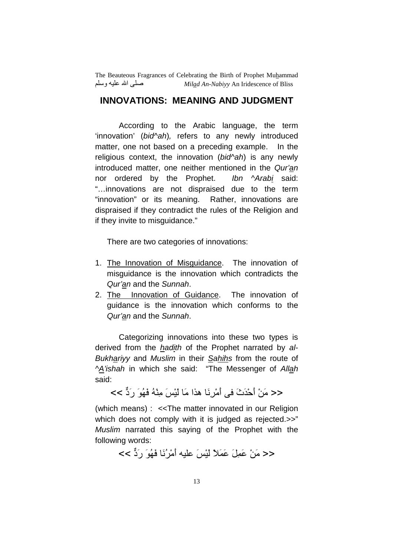### **INNOVATIONS: MEANING AND JUDGMENT**

 According to the Arabic language, the term 'innovation' (bid^ah), refers to any newly introduced matter, one not based on a preceding example. In the religious context, the innovation (bid^ah) is any newly introduced matter, one neither mentioned in the Qur'an nor ordered by the Prophet. Ibn ^Arabi said: "…innovations are not dispraised due to the term "innovation" or its meaning. Rather, innovations are dispraised if they contradict the rules of the Religion and if they invite to misguidance."

There are two categories of innovations:

- 1. The Innovation of Misguidance. The innovation of misguidance is the innovation which contradicts the Qur'an and the Sunnah.
- 2. The Innovation of Guidance. The innovation of guidance is the innovation which conforms to the Qur'an and the Sunnah.

 Categorizing innovations into these two types is derived from the *hadith* of the Prophet narrated by al-Bukhariyy and Muslim in their Sahihs from the route of ^A'ishah in which she said: "The Messenger of Allah said:

<< مَنْ أَحْدَثَ في أَمْرِ نَا هذا مَا لَنْسَ مِنْهُ فَهُوَ رَدٌّ >>

(which means) : <<The matter innovated in our Religion which does not comply with it is judged as rejected.>>" Muslim narrated this saying of the Prophet with the following words:

<< مَنْ عَمِلَ عَمَلاً لَبْسَ عليه أَمْرُنَا فَهُوَ رَدٌّ >>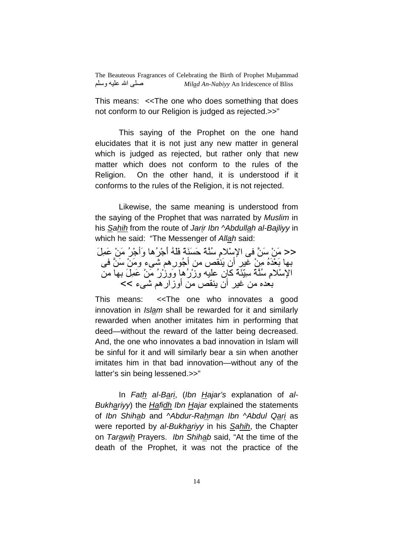This means: <<The one who does something that does not conform to our Religion is judged as rejected.>>"

 This saying of the Prophet on the one hand elucidates that it is not just any new matter in general which is judged as rejected, but rather only that new matter which does not conform to the rules of the Religion. On the other hand, it is understood if it conforms to the rules of the Religion, it is not rejected.

 Likewise, the same meaning is understood from the saying of the Prophet that was narrated by Muslim in his Sahih from the route of Jarir Ibn ^Abdullah al-Bajliyy in which he said: "The Messenger of Allah said:

<< مَنْ سَنَّ في الإسْلامِ سُنَّةَ حَسَنَةَ فَلْهُ أُجْرُها وَأَجْرُ مَنْ عَمِلَ بـها بَعْدَهُ مِنْ غير أن يَنْقص من أَجُور ِهم شَـيء ومَنْ سَنَّ فـي الْإِسْلامِ سُنَّةَ سِيِّئَةَ كَانِ عَلَيْهِ وِزْرُهَا وَوِزْرُ مَنْ عَمِلَ بِهَا مِن بعده من غير أن ينقص من أوزار هم شيء >>

This means: <<The one who innovates a good innovation in Islam shall be rewarded for it and similarly rewarded when another imitates him in performing that deed—without the reward of the latter being decreased. And, the one who innovates a bad innovation in Islam will be sinful for it and will similarly bear a sin when another imitates him in that bad innovation—without any of the latter's sin being lessened.>>"

 In Fath al-Bari, (Ibn Hajar's explanation of al-Bukhariyy) the **Hafidh Ibn Hajar explained the statements** of Ibn Shihab and ^Abdur-Rahman Ibn ^Abdul Qari as were reported by al-Bukhariyy in his Sahih, the Chapter on Tarawih Prayers. Ibn Shihab said, "At the time of the death of the Prophet, it was not the practice of the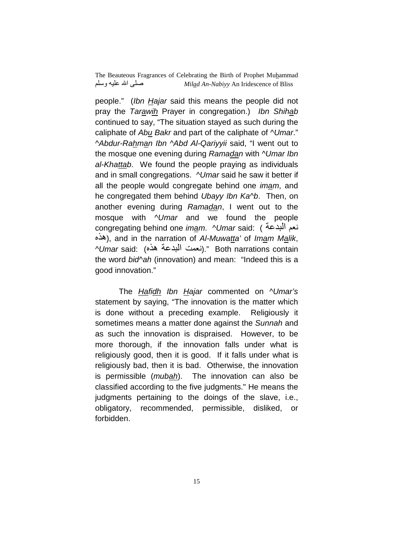people." (Ibn Hajar said this means the people did not pray the Tarawih Prayer in congregation.) Ibn Shihab continued to say, "The situation stayed as such during the caliphate of Abu Bakr and part of the caliphate of  $\Delta$ Umar." ^Abdur-Rahman Ibn ^Abd Al-Qariyyii said, "I went out to the mosque one evening during Ramadan with *NUmar Ibn* al-Khattab. We found the people praying as individuals and in small congregations. NUmar said he saw it better if all the people would congregate behind one *imam*, and he congregated them behind Ubayy Ibn Ka^b. Then, on another evening during Ramadan, I went out to the mosque with  $\Delta U$ mar and we found the people congregating behind one *im<u>a</u>m. ^Umar* said: ( نعم البدعة هذه), and in the narration of Al-Muwatta' of Imam Malik, ^Umar said: (نعمت البدعة هذه)." Both narrations contain the word bid<sup>n</sup>ah (innovation) and mean: "Indeed this is a good innovation."

The Hafidh Ibn Hajar commented on NUmar's statement by saying, "The innovation is the matter which is done without a preceding example. Religiously it sometimes means a matter done against the Sunnah and as such the innovation is dispraised. However, to be more thorough, if the innovation falls under what is religiously good, then it is good. If it falls under what is religiously bad, then it is bad. Otherwise, the innovation is permissible (mubah). The innovation can also be classified according to the five judgments." He means the judgments pertaining to the doings of the slave, i.e., obligatory, recommended, permissible, disliked, or forbidden.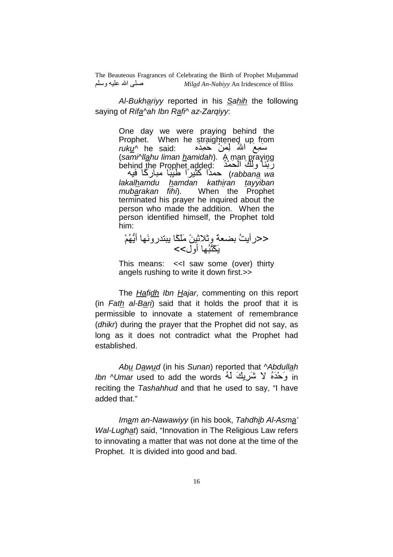Al-Bukhariyy reported in his Sahih the following saying of Rifa^ah Ibn Rafi^ az-Zarqiyy:

> One day we were praying behind the Prophet. When he straightened up from  $ruku^{\wedge}$  he said: سَمِعُ اللَّهُ لِمَنْ حَمِدَه (sami^llahu liman hamidah). A man praying behind the Prophet added: رَبَّنَا وَ لَكَ الْحَمْدَ rabbana wa) حمدًا كَثَيْرًا طَيْبًا مبارِكًا فَيه lakalhamdu hamdan kathiran tayyiban mubarakan fihi). When the Prophet terminated his prayer he inquired about the person who made the addition. When the person identified himself, the Prophet told him:

<حرايتُ بضعةً وثلاثيِنَ مَلَكًا بِبتدرونَها أَيُّهُمْ يَكْثُبُها أول>>

This means: <<I saw some (over) thirty angels rushing to write it down first.>>

The Hafidh Ibn Hajar, commenting on this report (in Fath al-Bari) said that it holds the proof that it is permissible to innovate a statement of remembrance (dhikr) during the prayer that the Prophet did not say, as long as it does not contradict what the Prophet had established.

Abu Dawud (in his Sunan) reported that *^Abdullah* Ibn ^Umar used to add the words لا شَرِيكَ لَهُ İn reciting the Tashahhud and that he used to say, "I have added that."

 Imam an-Nawawiyy (in his book, Tahdhib Al-Asma' Wal-Lughat) said, "Innovation in The Religious Law refers to innovating a matter that was not done at the time of the Prophet. It is divided into good and bad.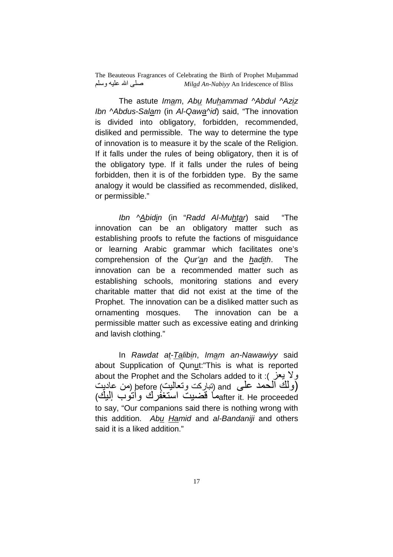The astute Imam, Abu Muhammad ^Abdul ^Aziz Ibn ^Abdus-Salam (in Al-Qawa^id) said, "The innovation is divided into obligatory, forbidden, recommended, disliked and permissible. The way to determine the type of innovation is to measure it by the scale of the Religion. If it falls under the rules of being obligatory, then it is of the obligatory type. If it falls under the rules of being forbidden, then it is of the forbidden type. By the same analogy it would be classified as recommended, disliked, or permissible."

 Ibn ^Abidin (in "Radd Al-Muhtar) said "The innovation can be an obligatory matter such as establishing proofs to refute the factions of misguidance or learning Arabic grammar which facilitates one's comprehension of the Qur'an and the hadith. The innovation can be a recommended matter such as establishing schools, monitoring stations and every charitable matter that did not exist at the time of the Prophet. The innovation can be a disliked matter such as ornamenting mosques. The innovation can be a permissible matter such as excessive eating and drinking and lavish clothing."

 In Rawdat at-Talibin, Imam an-Nawawiyy said about Supplication of Qunut:"This is what is reported about the Prophet and the Scholars added to it : ولا يعز ولك الحمد على and (تباركت وتعاليت) before (من عاديت) after it. He proceededو القضيت استغفرك وأتوب اليك to say, "Our companions said there is nothing wrong with this addition. Abu Hamid and al-Bandaniji and others said it is a liked addition."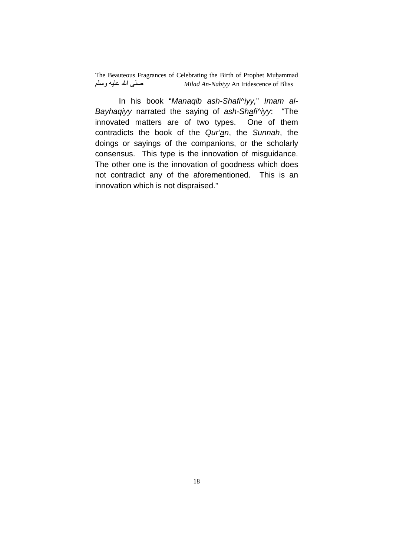In his book "Manaqib ash-Shafi^iyy," Imam al-Bayhaqiyy narrated the saying of ash-Shafi^iyy: "The innovated matters are of two types. One of them contradicts the book of the Qur'an, the Sunnah, the doings or sayings of the companions, or the scholarly consensus. This type is the innovation of misguidance. The other one is the innovation of goodness which does not contradict any of the aforementioned. This is an innovation which is not dispraised."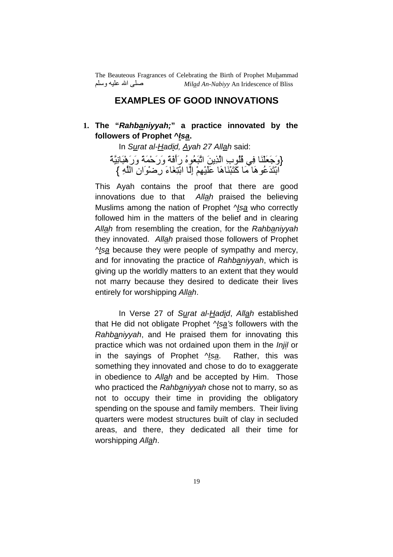#### **EXAMPLES OF GOOD INNOVATIONS**

### **1. The "Rahbaniyyah;" a practice innovated by the followers of Prophet ^Isa.**

In Surat al-Hadid, Ayah 27 Allah said:

{وَجَعَلْنَا فِي قُلُوبِ الَّذِينَ اتَّبَعُوهُ رَأَفَةً وَرَحْمَةً وَرَهْبَانِيَّةً ۖ ابْتَدَعُوهَا مَا كَتَبْنَاهَا عَلَيْهِمْ إِلَّا ابْتِغَاءَ رِضْوَانِ اللَّهِ }

This Ayah contains the proof that there are good innovations due to that Allah praised the believing Muslims among the nation of Prophet Nsa who correctly followed him in the matters of the belief and in clearing Allah from resembling the creation, for the Rahbaniyyah they innovated. Allah praised those followers of Prophet ^Isa because they were people of sympathy and mercy, and for innovating the practice of Rahbaniyyah, which is giving up the worldly matters to an extent that they would not marry because they desired to dedicate their lives entirely for worshipping Allah.

 In Verse 27 of Surat al-Hadid, Allah established that He did not obligate Prophet ^Isa's followers with the Rahbaniyyah, and He praised them for innovating this practice which was not ordained upon them in the *Injil* or in the sayings of Prophet *Nsa*. Rather, this was something they innovated and chose to do to exaggerate in obedience to Allah and be accepted by Him. Those who practiced the Rahbanivyah chose not to marry, so as not to occupy their time in providing the obligatory spending on the spouse and family members. Their living quarters were modest structures built of clay in secluded areas, and there, they dedicated all their time for worshipping Allah.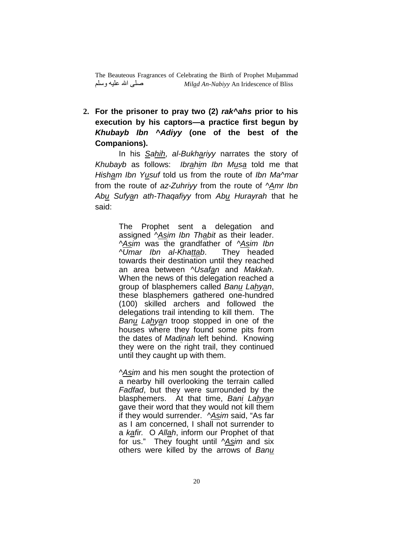**2. For the prisoner to pray two (2) rak^ahs prior to his execution by his captors—a practice first begun by Khubayb Ibn ^Adiyy (one of the best of the Companions).** 

In his Sahih, al-Bukhariyy narrates the story of Khubayb as follows: Ibrahim Ibn Musa told me that Hisham Ibn Yusuf told us from the route of Ibn Ma^mar from the route of az-Zuhriyy from the route of  $\Delta m r$  Ibn Abu Sufyan ath-Thaqafiyy from Abu Hurayrah that he said:

> The Prophet sent a delegation and assigned ^Asim Ibn Thabit as their leader. ^Asim was the grandfather of ^Asim Ibn  $\sqrt{U}$ mar Ibn al-Khattab. They headed towards their destination until they reached an area between ^Usafan and Makkah. When the news of this delegation reached a group of blasphemers called Banu Lahyan, these blasphemers gathered one-hundred (100) skilled archers and followed the delegations trail intending to kill them. The Banu Lahyan troop stopped in one of the houses where they found some pits from the dates of Madinah left behind. Knowing they were on the right trail, they continued until they caught up with them.

> ^Asim and his men sought the protection of a nearby hill overlooking the terrain called Fadfad, but they were surrounded by the blasphemers. At that time, Bani Lahyan gave their word that they would not kill them if they would surrender. ^Asim said, "As far as I am concerned, I shall not surrender to a kafir. O Allah, inform our Prophet of that for us." They fought until  $^{\wedge}$ Asim and six others were killed by the arrows of Banu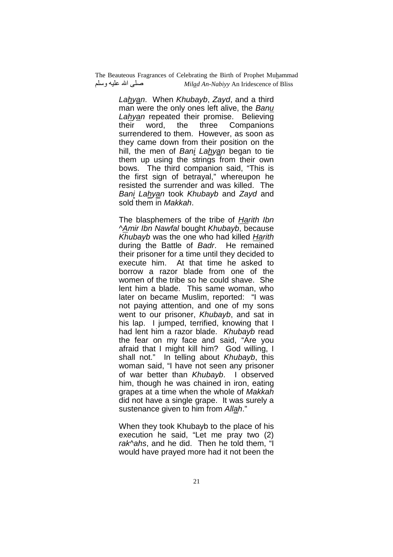> Lahyan. When Khubayb, Zayd, and a third man were the only ones left alive, the Banu Lahyan repeated their promise. Believing their word, the three Companions surrendered to them. However, as soon as they came down from their position on the hill, the men of Bani Lahyan began to tie them up using the strings from their own bows. The third companion said, "This is the first sign of betrayal," whereupon he resisted the surrender and was killed. The Bani Lahyan took Khubayb and Zayd and sold them in Makkah.

> The blasphemers of the tribe of Harith Ibn ^Amir Ibn Nawfal bought Khubayb, because Khubayb was the one who had killed Harith during the Battle of Badr. He remained their prisoner for a time until they decided to execute him. At that time he asked to borrow a razor blade from one of the women of the tribe so he could shave. She lent him a blade. This same woman, who later on became Muslim, reported: "I was not paying attention, and one of my sons went to our prisoner, Khubayb, and sat in his lap. I jumped, terrified, knowing that I had lent him a razor blade. Khubayb read the fear on my face and said, "Are you afraid that I might kill him? God willing, I shall not." In telling about *Khubayb*, this woman said, "I have not seen any prisoner of war better than Khubayb. I observed him, though he was chained in iron, eating grapes at a time when the whole of Makkah did not have a single grape. It was surely a sustenance given to him from Allah."

When they took Khubayb to the place of his execution he said, "Let me pray two (2) rak^ahs, and he did. Then he told them, "I would have prayed more had it not been the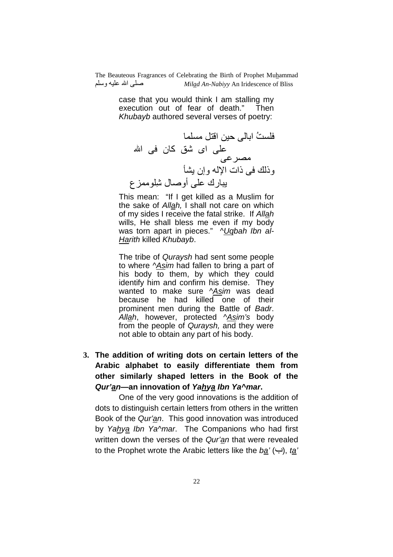> case that you would think I am stalling my execution out of fear of death." Then Khubayb authored several verses of poetry:

-@ُ ا: %\$ اGU \*- )  اى 2] آن  ا  ] وذC ذات ا0 وإن 5\_^ 5?رك  أول ِ2(Mع

This mean: "If I get killed as a Muslim for the sake of Allah, I shall not care on which of my sides I receive the fatal strike. If Allah wills, He shall bless me even if my body was torn apart in pieces." AUqbah Ibn al-Harith killed Khubayb.

The tribe of Quraysh had sent some people to where ^Asim had fallen to bring a part of his body to them, by which they could identify him and confirm his demise. They wanted to make sure Asim was dead because he had killed one of their prominent men during the Battle of Badr. Allah, however, protected ^Asim's body from the people of Quraysh, and they were not able to obtain any part of his body.

**3. The addition of writing dots on certain letters of the Arabic alphabet to easily differentiate them from other similarly shaped letters in the Book of the Qur'an—an innovation of Yahya Ibn Ya^mar.** 

 One of the very good innovations is the addition of dots to distinguish certain letters from others in the written Book of the Qur'an. This good innovation was introduced by Yahya Ibn Ya^mar. The Companions who had first written down the verses of the Qur'an that were revealed to the Prophet wrote the Arabic letters like the  $b\underline{a}'(\rightarrow)$ , ta'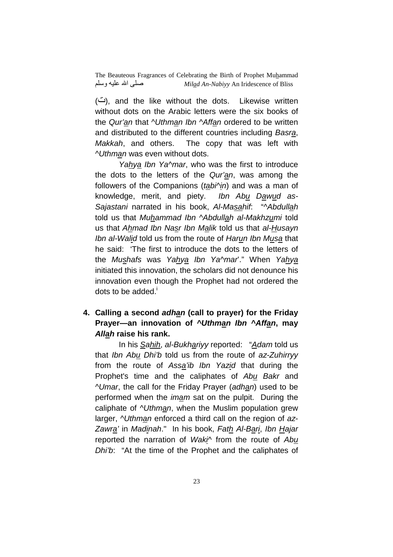(ت), and the like without the dots. Likewise written without dots on the Arabic letters were the six books of the Qur'an that *NUthman Ibn NAffan* ordered to be written and distributed to the different countries including Basra, Makkah, and others. The copy that was left with ^Uthman was even without dots.

Yahya Ibn Ya^mar, who was the first to introduce the dots to the letters of the Qur'an, was among the followers of the Companions ( $tabi$ <sup> $\land$ </sup>in) and was a man of knowledge, merit, and piety. Ibn Abu Dawud as-Sajastani narrated in his book, Al-Masahif: "^Abdullah told us that Muhammad Ibn ^Abdullah al-Makhzumi told us that Ahmad Ibn Nasr Ibn Malik told us that al-Husayn Ibn al-Walid told us from the route of Harun Ibn Musa that he said: 'The first to introduce the dots to the letters of the Mushafs was Yahya Ibn Ya^mar'." When Yahya initiated this innovation, the scholars did not denounce his innovation even though the Prophet had not ordered the dots to be added. $\overline{1}$ 

#### **4. Calling a second adhan (call to prayer) for the Friday Prayer—an innovation of ^Uthman Ibn ^Affan, may Allah raise his rank.**

In his Sahih, al-Bukhariyy reported: "Adam told us that Ibn Abu Dhi'b told us from the route of az-Zuhirryy from the route of Assa'ib Ibn Yazid that during the Prophet's time and the caliphates of Abu Bakr and ^Umar, the call for the Friday Prayer (adhan) used to be performed when the imam sat on the pulpit. During the caliphate of *NUthman*, when the Muslim population grew larger, *^Uthman* enforced a third call on the region of az-Zawra' in Madinah." In his book, Fath Al-Bari, Ibn Hajar reported the narration of Waki<sup>^</sup> from the route of Abu Dhi'b: "At the time of the Prophet and the caliphates of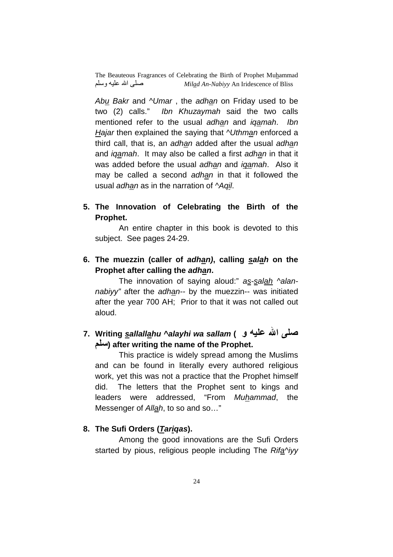Abu Bakr and ^Umar, the adhan on Friday used to be two (2) calls." Ibn Khuzaymah said the two calls mentioned refer to the usual adhan and igamah. Ibn Hajar then explained the saying that *Nuthman* enforced a third call, that is, an adhan added after the usual adhan and iqamah. It may also be called a first adhan in that it was added before the usual adhan and *igamah*. Also it may be called a second adhan in that it followed the usual adhan as in the narration of ^Aqil.

**5. The Innovation of Celebrating the Birth of the Prophet.** 

 An entire chapter in this book is devoted to this subject. See pages 24-29.

**6. The muezzin (caller of adhan), calling salah on the Prophet after calling the adhan.** 

The innovation of saying aloud:" as-salah ^alannabiyy" after the adhan-- by the muezzin-- was initiated after the year 700 AH; Prior to that it was not called out aloud.

# **7. Writing sallallahu ^alayhi wa sallam ( و 
7) ا 8 95) after writing the name of the Prophet.**

 This practice is widely spread among the Muslims and can be found in literally every authored religious work, yet this was not a practice that the Prophet himself did. The letters that the Prophet sent to kings and leaders were addressed, "From Muhammad, the Messenger of Allah, to so and so..."

#### **8. The Sufi Orders (Tariqas).**

 Among the good innovations are the Sufi Orders started by pious, religious people including The Rifa^iyy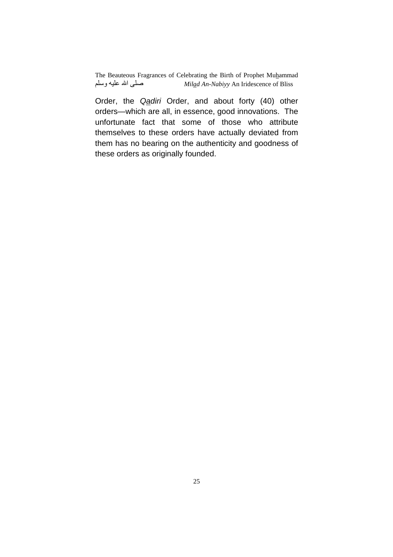Order, the Qadiri Order, and about forty (40) other orders—which are all, in essence, good innovations. The unfortunate fact that some of those who attribute themselves to these orders have actually deviated from them has no bearing on the authenticity and goodness of these orders as originally founded.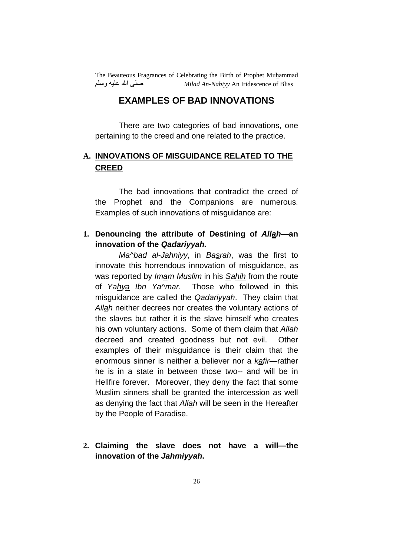## **EXAMPLES OF BAD INNOVATIONS**

 There are two categories of bad innovations, one pertaining to the creed and one related to the practice.

# **A. INNOVATIONS OF MISGUIDANCE RELATED TO THE CREED**

The bad innovations that contradict the creed of the Prophet and the Companions are numerous. Examples of such innovations of misguidance are:

#### **1. Denouncing the attribute of Destining of Allah—an innovation of the Qadariyyah.**

Ma^bad al-Jahniyy, in Basrah, was the first to innovate this horrendous innovation of misguidance, as was reported by Imam Muslim in his Sahih from the route of Yahya Ibn Ya^mar. Those who followed in this misguidance are called the Qadariyyah. They claim that Allah neither decrees nor creates the voluntary actions of the slaves but rather it is the slave himself who creates his own voluntary actions. Some of them claim that Allah decreed and created goodness but not evil. Other examples of their misguidance is their claim that the enormous sinner is neither a believer nor a kafir—rather he is in a state in between those two-- and will be in Hellfire forever. Moreover, they deny the fact that some Muslim sinners shall be granted the intercession as well as denying the fact that Allah will be seen in the Hereafter by the People of Paradise.

**2. Claiming the slave does not have a will—the innovation of the Jahmiyyah.**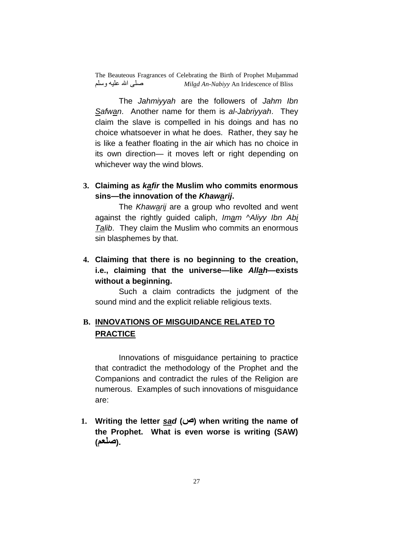The Jahmiyyah are the followers of Jahm Ibn Safwan. Another name for them is al-Jabriyyah. They claim the slave is compelled in his doings and has no choice whatsoever in what he does. Rather, they say he is like a feather floating in the air which has no choice in its own direction— it moves left or right depending on whichever way the wind blows.

#### **3. Claiming as kafir the Muslim who commits enormous sins—the innovation of the Khawarij.**

The Khawarij are a group who revolted and went against the rightly guided caliph, Imam ^Aliyy Ibn Abi Talib. They claim the Muslim who commits an enormous sin blasphemes by that.

## **4. Claiming that there is no beginning to the creation, i.e., claiming that the universe—like Allah—exists without a beginning.**

 Such a claim contradicts the judgment of the sound mind and the explicit reliable religious texts.

## **B. INNOVATIONS OF MISGUIDANCE RELATED TO PRACTICE**

 Innovations of misguidance pertaining to practice that contradict the methodology of the Prophet and the Companions and contradict the rules of the Religion are numerous. Examples of such innovations of misguidance are:

**1. Writing the letter sad (ص (when writing the name of the Prophet. What is even worse is writing (SAW) (9;8).**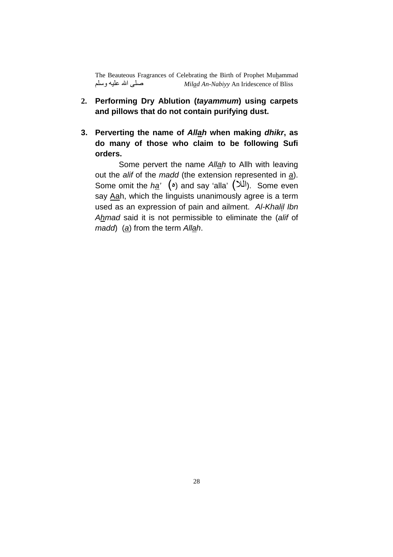- **2. Performing Dry Ablution (tayammum) using carpets and pillows that do not contain purifying dust.**
- **3. Perverting the name of Allah when making dhikr, as do many of those who claim to be following Sufi orders.**

 Some pervert the name Allah to Allh with leaving out the alif of the madd (the extension represented in  $\underline{a}$ ). Some omit the ha'  $(\circ)$  and say 'alla'  $(\infty)$ . Some even say Aah, which the linguists unanimously agree is a term used as an expression of pain and ailment. Al-Khalil Ibn Ahmad said it is not permissible to eliminate the (alif of madd) (a) from the term Allah.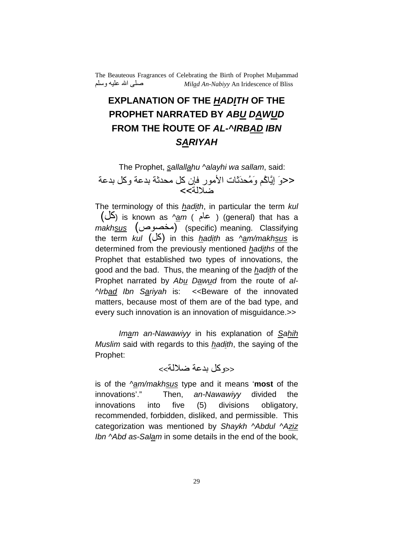# **EXPLANATION OF THE HADITH OF THE PROPHET NARRATED BY ABU DAWUD FROM THE ٌROUTE OF AL-^IRBAD IBN SARIYAH**

The Prophet, sallallahu ^alayhi wa sallam, said: <<وَ إِيَّاكُم وَمُحدَنَّات الأمور فإن كل محدثة بدعة وكل بدعة خىلالة>>

The terminology of this hadith, in particular the term kul  $(\bigcup_{i=1}^{\infty}$  is known as ^am ( محام) (general) that has a makhsus (مخصوص) (specific) meaning. Classifying the term kul  $(\Delta)$  in this hadith as ^am/makhsus is determined from the previously mentioned hadiths of the Prophet that established two types of innovations, the good and the bad. Thus, the meaning of the hadith of the Prophet narrated by Abu Dawud from the route of al-^Irbad Ibn Sariyah is: << Beware of the innovated matters, because most of them are of the bad type, and every such innovation is an innovation of misguidance.>>

Imam an-Nawawiyy in his explanation of Sahih Muslim said with regards to this hadith, the saying of the Prophet:

### <<e كل بدعة ضلالة>>

is of the  $\frac{N_{\text{am}}}{N_{\text{max}}}$  type and it means 'most of the innovations'." Then, an-Nawawiyy divided the innovations into five (5) divisions obligatory, recommended, forbidden, disliked, and permissible. This categorization was mentioned by Shaykh ^Abdul ^Aziz Ibn ^Abd as-Salam in some details in the end of the book,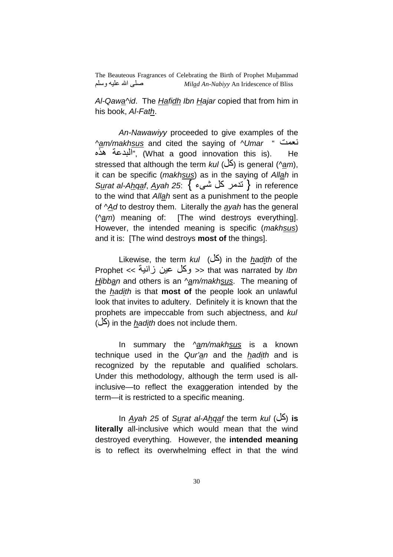Al-Qawa^id. The Hafidh Ibn Hajar copied that from him in his book, Al-Fath.

An-Nawawiyy proceeded to give examples of the ^am/makhsus and cited the saving of ^Umar " فعنت " البدعة هذه", (What a good innovation this is). He stressed that although the term  $kul$  ( $\leq$ ) is general (^am), it can be specific (makhsus) as in the saying of Allah in Surat al-Ahqaf, Ayah 25:  $\{ \div$  آندمر كل شيء } in reference to the wind that Allah sent as a punishment to the people of ^Ad to destroy them. Literally the ayah has the general (^am) meaning of: [The wind destroys everything]. However, the intended meaning is specific (makhsus) and it is: [The wind destroys **most of** the things].

Likewise, the term kul (كل) in the hadith of the Prophet << وكل عين زانية >> that was narrated by *Ibn* Hibban and others is an  $\frac{N_{\text{em}}}{N_{\text{em}}}$  akheus. The meaning of the hadith is that **most of** the people look an unlawful look that invites to adultery. Definitely it is known that the prophets are impeccable from such abjectness, and kul  $($ ( $\Delta$ ) in the *hadith* does not include them.

In summary the  $\gamma$ am/makhsus is a known technique used in the Qur'an and the hadith and is recognized by the reputable and qualified scholars. Under this methodology, although the term used is allinclusive—to reflect the exaggeration intended by the term—it is restricted to a specific meaning.

 In Ayah 25 of Surat al-Ahqaf the term kul (\*آ (**is literally** all-inclusive which would mean that the wind destroyed everything. However, the **intended meaning** is to reflect its overwhelming effect in that the wind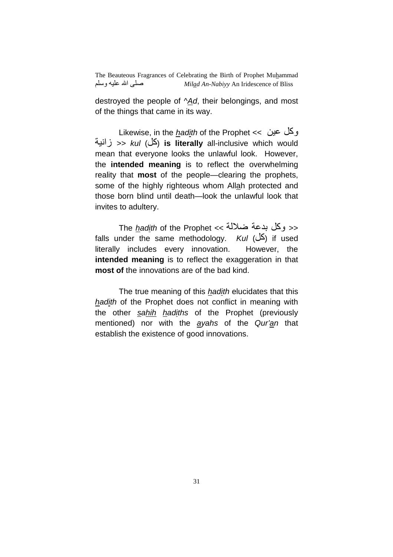destroyed the people of  $\Delta d$ , their belongings, and most of the things that came in its way.

Likewise, in the *hadith* of the Prophet  $<<$  2 وكل عين ,زا << kul (\*آ (**is literally** all-inclusive which would mean that everyone looks the unlawful look. However, the **intended meaning** is to reflect the overwhelming reality that **most** of the people—clearing the prophets, some of the highly righteous whom Allah protected and those born blind until death—look the unlawful look that invites to adultery.

The *hadith* of the Prophet << ضلالة >> falls under the same methodology. Kul ( $\angle$  $\angle$ ) if used literally includes every innovation. However, the **intended meaning** is to reflect the exaggeration in that **most of** the innovations are of the bad kind.

The true meaning of this *hadith* elucidates that this hadith of the Prophet does not conflict in meaning with the other sahih hadiths of the Prophet (previously mentioned) nor with the ayahs of the Qur'an that establish the existence of good innovations.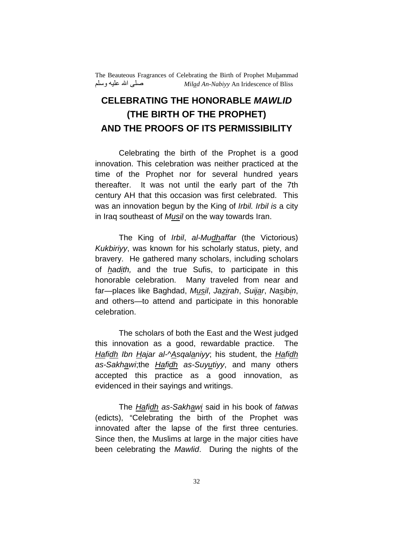# **CELEBRATING THE HONORABLE MAWLID (THE BIRTH OF THE PROPHET) AND THE PROOFS OF ITS PERMISSIBILITY**

 Celebrating the birth of the Prophet is a good innovation. This celebration was neither practiced at the time of the Prophet nor for several hundred years thereafter. It was not until the early part of the 7th century AH that this occasion was first celebrated. This was an innovation begun by the King of Irbil. Irbil is a city in Iraq southeast of Musil on the way towards Iran.

 The King of Irbil, al-Mudhaffar (the Victorious) Kukbiriyy, was known for his scholarly status, piety, and bravery. He gathered many scholars, including scholars of *hadith*, and the true Sufis, to participate in this honorable celebration. Many traveled from near and far—places like Baghdad, Musil, Jazirah, Suijar, Nasibin, and others—to attend and participate in this honorable celebration.

 The scholars of both the East and the West judged this innovation as a good, rewardable practice. The Hafidh Ibn Hajar al-^Asqalaniyy; his student, the Hafidh as-Sakhawi;the Hafidh as-Suyutiyy, and many others accepted this practice as a good innovation, as evidenced in their sayings and writings.

 The Hafidh as-Sakhawi said in his book of fatwas (edicts), "Celebrating the birth of the Prophet was innovated after the lapse of the first three centuries. Since then, the Muslims at large in the major cities have been celebrating the Mawlid. During the nights of the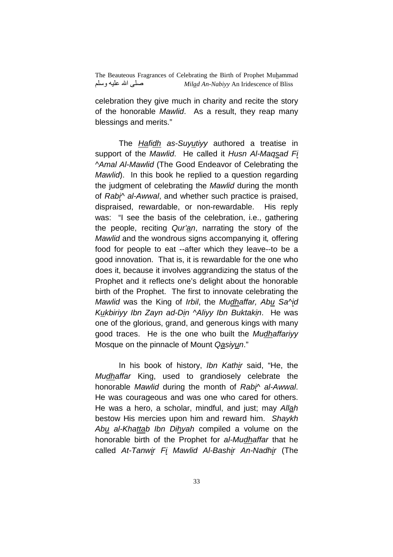celebration they give much in charity and recite the story of the honorable Mawlid. As a result, they reap many blessings and merits."

The Hafidh as-Suyutiyy authored a treatise in support of the Mawlid. He called it Husn Al-Magsad Fi ^Amal Al-Mawlid (The Good Endeavor of Celebrating the Mawlid). In this book he replied to a question regarding the judgment of celebrating the Mawlid during the month of Rabi<sup> $\land$ </sup> al-Awwal, and whether such practice is praised, dispraised, rewardable, or non-rewardable. His reply was: "I see the basis of the celebration, i.e., gathering the people, reciting Qur'an, narrating the story of the Mawlid and the wondrous signs accompanying it, offering food for people to eat --after which they leave--to be a good innovation. That is, it is rewardable for the one who does it, because it involves aggrandizing the status of the Prophet and it reflects one's delight about the honorable birth of the Prophet. The first to innovate celebrating the Mawlid was the King of Irbil, the Mudhaffar, Abu Sa^id Kukbiriyy Ibn Zayn ad-Din ^Aliyy Ibn Buktakin. He was one of the glorious, grand, and generous kings with many good traces. He is the one who built the Mudhaffariyy Mosque on the pinnacle of Mount Qasiyun."

 In his book of history, Ibn Kathir said, "He, the Mudhaffar King, used to grandiosely celebrate the honorable Mawlid during the month of Rabi^ al-Awwal. He was courageous and was one who cared for others. He was a hero, a scholar, mindful, and just; may Allah bestow His mercies upon him and reward him. Shaykh Abu al-Khattab Ibn Dihyah compiled a volume on the honorable birth of the Prophet for al-Mudhaffar that he called At-Tanwir Fi Mawlid Al-Bashir An-Nadhir (The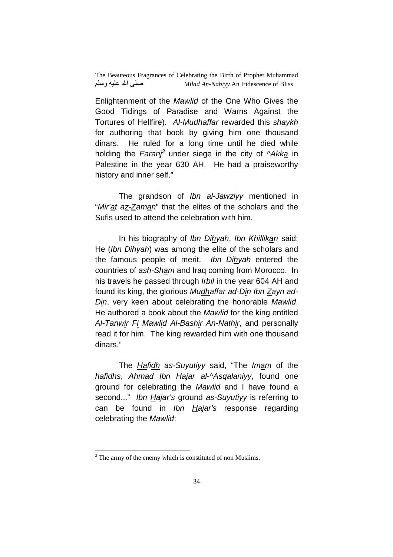Enlightenment of the Mawlid of the One Who Gives the Good Tidings of Paradise and Warns Against the Tortures of Hellfire). Al-Mudhaffar rewarded this shaykh for authoring that book by giving him one thousand dinars. He ruled for a long time until he died while holding the Faranj<sup>3</sup> under siege in the city of ^Akka in Palestine in the year 630 AH. He had a praiseworthy history and inner self."

The grandson of Ibn al-Jawziyy mentioned in "Mir'at az-Zaman" that the elites of the scholars and the Sufis used to attend the celebration with him.

 In his biography of Ibn Dihyah, Ibn Khillikan said: He (Ibn Dihyah) was among the elite of the scholars and the famous people of merit. Ibn Dihyah entered the countries of ash-Sham and Iraq coming from Morocco. In his travels he passed through *Irbil* in the year 604 AH and found its king, the glorious Mudhaffar ad-Din Ibn Zayn ad-Din, very keen about celebrating the honorable Mawlid. He authored a book about the Mawlid for the king entitled Al-Tanwir Fi Mawlid Al-Bashir An-Nathir, and personally read it for him. The king rewarded him with one thousand dinars."

 The Hafidh as-Suyutiyy said, "The Imam of the hafidhs, Ahmad Ibn Hajar al-^Asqalaniyy, found one ground for celebrating the Mawlid and I have found a second..." Ibn Hajar's ground as-Suyutiyy is referring to can be found in Ibn Hajar's response regarding celebrating the Mawlid:

 $\overline{a}$ 

 $3$  The army of the enemy which is constituted of non Muslims.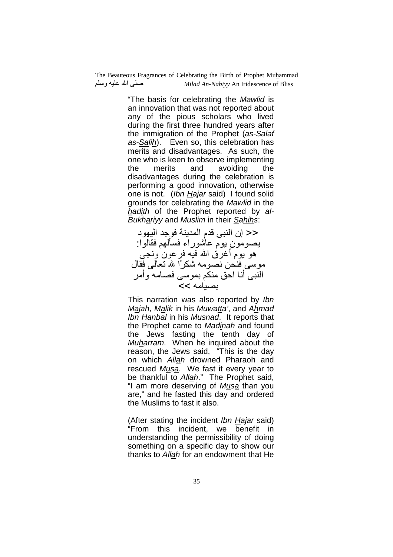> "The basis for celebrating the Mawlid is an innovation that was not reported about any of the pious scholars who lived during the first three hundred years after the immigration of the Prophet (as-Salaf as-Salih). Even so, this celebration has merits and disadvantages. As such, the one who is keen to observe implementing the merits and avoiding the disadvantages during the celebration is performing a good innovation, otherwise one is not. (Ibn Hajar said) I found solid grounds for celebrating the Mawlid in the hadith of the Prophet reported by al-Bukhariyy and Muslim in their Sahihs:

<< إن النبي قدم المدينة فوجد اليهود يصومون يوم عاشوراء فسألهم فقالوا هو يوم أغرق الله فيه فر عون ونجي موسى فنحن نصومه شكرًا لله نعالى فقال النبي أنا احق منكم بموسى فصامه وأمر بصيامه >>

This narration was also reported by Ibn Majah, Malik in his Muwatta', and Ahmad Ibn Hanbal in his Musnad. It reports that the Prophet came to Madinah and found the Jews fasting the tenth day of Muharram. When he inquired about the reason, the Jews said, "This is the day on which Allah drowned Pharaoh and rescued Musa. We fast it every year to be thankful to Allah." The Prophet said, "I am more deserving of Musa than you are," and he fasted this day and ordered the Muslims to fast it also.

(After stating the incident Ibn Hajar said) "From this incident, we benefit in understanding the permissibility of doing something on a specific day to show our thanks to Allah for an endowment that He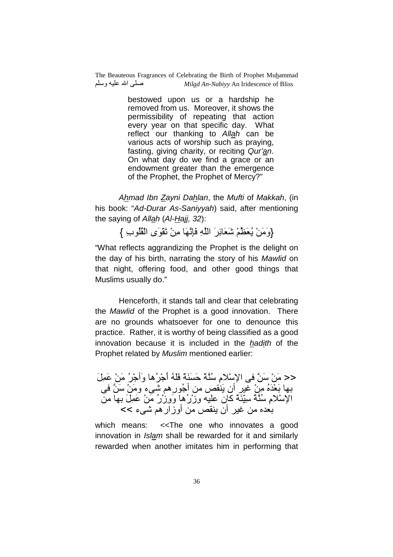> bestowed upon us or a hardship he removed from us. Moreover, it shows the permissibility of repeating that action every year on that specific day. What reflect our thanking to Allah can be various acts of worship such as praying, fasting, giving charity, or reciting Qur'an. On what day do we find a grace or an endowment greater than the emergence of the Prophet, the Prophet of Mercy?"

Ahmad Ibn Zayni Dahlan, the Mufti of Makkah, (in his book: "Ad-Durar As-Saniyyah) said, after mentioning the saying of Allah  $(AI-Hajj, 32)$ :

{وَمَنْ يُعَظُّمْ شَعَائِرَ اللَّهِ فَإِنَّهَا مِنْ تَقْوَى الْقُلُوبِ }

"What reflects aggrandizing the Prophet is the delight on the day of his birth, narrating the story of his Mawlid on that night, offering food, and other good things that Muslims usually do."

 Henceforth, it stands tall and clear that celebrating the Mawlid of the Prophet is a good innovation. There are no grounds whatsoever for one to denounce this practice. Rather, it is worthy of being classified as a good innovation because it is included in the hadith of the Prophet related by Muslim mentioned earlier:

<< مَنْ سَنَّ في الإسْلامِ سُنَّةً حَسَنَةً فَلَهُ أُجْرُ ها وَأَجْرُ ۢ مَنْ عَمِلَ بـها بَعْدَهُ مِنْ غير أن يَنْقص من أَجُور ِهم شـيء ومَنْ سَنَّ فـي الْإِسْلامِ سُنَّةَ سُبِّئَةً كَانِ عَلَيْهِ وِزْرُهْا وَوِزْرُ مَنْ عَمِلَ بِها من بعده من غير أن ينقص من أوزار هم شيء >>

which means: <<The one who innovates a good innovation in Islam shall be rewarded for it and similarly rewarded when another imitates him in performing that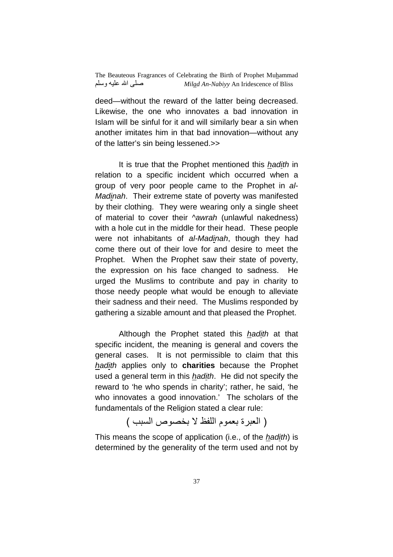deed—without the reward of the latter being decreased. Likewise, the one who innovates a bad innovation in Islam will be sinful for it and will similarly bear a sin when another imitates him in that bad innovation—without any of the latter's sin being lessened.>>

It is true that the Prophet mentioned this hadith in relation to a specific incident which occurred when a group of very poor people came to the Prophet in al-Madinah. Their extreme state of poverty was manifested by their clothing. They were wearing only a single sheet of material to cover their *Nawrah* (unlawful nakedness) with a hole cut in the middle for their head. These people were not inhabitants of al-Madinah, though they had come there out of their love for and desire to meet the Prophet. When the Prophet saw their state of poverty, the expression on his face changed to sadness. He urged the Muslims to contribute and pay in charity to those needy people what would be enough to alleviate their sadness and their need. The Muslims responded by gathering a sizable amount and that pleased the Prophet.

Although the Prophet stated this *hadith* at that specific incident, the meaning is general and covers the general cases. It is not permissible to claim that this hadith applies only to **charities** because the Prophet used a general term in this hadith. He did not specify the reward to 'he who spends in charity'; rather, he said, 'he who innovates a good innovation.' The scholars of the fundamentals of the Religion stated a clear rule:

( العبر ة بعموم اللفظ لا بخصوص السبب )

This means the scope of application (i.e., of the *hadith*) is determined by the generality of the term used and not by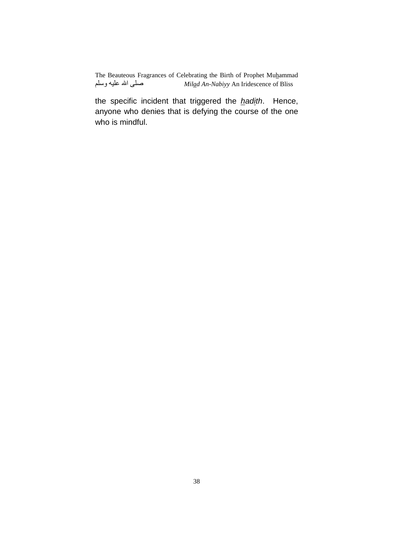the specific incident that triggered the hadith. Hence, anyone who denies that is defying the course of the one who is mindful.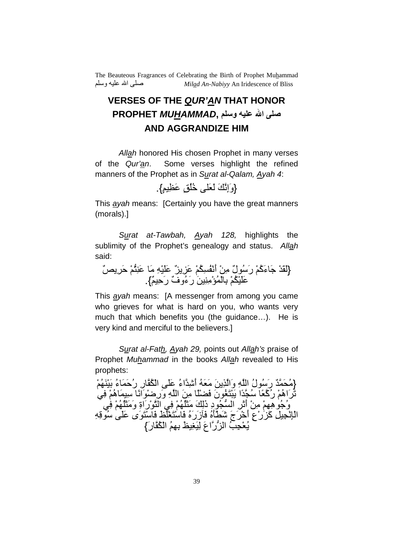## **VERSES OF THE QUR'AN THAT HONOR صلى الله عليه وسلم PROPHET** *MUHAMMAD***, AND AGGRANDIZE HIM**

Allah honored His chosen Prophet in many verses of the Qur'an. Some verses highlight the refined manners of the Prophet as in Surat al-Qalam, Ayah 4:

$$
\left\{ e\right\} \stackrel{\text{def}}{=} \text{Ind} \left\{ \left\{ e \right\} \stackrel{\text{def}}{=} \left\{ e \right\} \left( e \right) \stackrel{\text{def}}{=} \left\{ e \right\} \left( e \right) \stackrel{\text{def}}{=} \left\{ e \right\} \left( e \right) \stackrel{\text{def}}{=} \left\{ e \right\} \left( e \right) \stackrel{\text{def}}{=} \left\{ e \right\} \left( e \right) \stackrel{\text{def}}{=} \left\{ e \right\} \left( e \right) \stackrel{\text{def}}{=} \left\{ e \right\} \left( e \right) \stackrel{\text{def}}{=} \left\{ e \right\} \left( e \right) \stackrel{\text{def}}{=} \left\{ e \right\} \left( e \right) \stackrel{\text{def}}{=} \left\{ e \right\} \left( e \right) \stackrel{\text{def}}{=} \left\{ e \right\} \left( e \right) \stackrel{\text{def}}{=} \left\{ e \right\} \left( e \right) \stackrel{\text{def}}{=} \left\{ e \right\} \left( e \right) \stackrel{\text{def}}{=} \left\{ e \right\} \left( e \right) \stackrel{\text{def}}{=} \left\{ e \right\} \left( e \right) \stackrel{\text{def}}{=} \left\{ e \right\} \left( e \right) \stackrel{\text{def}}{=} \left\{ e \right\} \left( e \right) \stackrel{\text{def}}{=} \left\{ e \right\} \left( e \right) \stackrel{\text{def}}{=} \left\{ e \right\} \left( e \right) \stackrel{\text{def}}{=} \left\{ e \right\} \left( e \right) \stackrel{\text{def}}{=} \left\{ e \right\} \left( e \right) \stackrel{\text{def}}{=} \left\{ e \right\} \left( e \right) \stackrel{\text{def}}{=} \left\{ e \right\} \left( e \right) \stackrel{\text{def}}{=} \left\{ e \right\} \left( e \right) \stackrel{\text{def}}{=} \left\{ e \right\} \left( e \right) \stackrel{\text{def}}{=} \left\{ e \right\} \left( e \right) \stackrel{\text{def}}{=} \left\{ e \right\} \left( e \right) \stackrel{\text{def}}{=} \left\{ e \right\} \left
$$

This *ayah* means: [Certainly you have the great manners (morals).]

Surat at-Tawbah,  $\Delta$ yah 128, highlights the sublimity of the Prophet's genealogy and status. Allah said:

{ْلَقَدْ جَاءَكُمْ رَسُولٌ مِنْ أَنْفُسِكُمْ عَزِيزٌ عَلَيْهِ مَا عَنِتُمْ حَرِيصٌ عَلَيْكُمْ بِالْمُؤْمِنِينَ رَءُوفٌ رَحِيمٌ}.

This ayah means: [A messenger from among you came who grieves for what is hard on you, who wants very much that which benefits you (the guidance…). He is very kind and merciful to the believers.]

Surat al-Fath, Ayah 29, points out Allah's praise of Prophet Muhammad in the books Allah revealed to His prophets:

{مُحَمَّدٌ رَسُولُ اللَّهِ وَالَّذِينَ مَعَهُ أَشْدَّاءُ عَلَى الْكُفَّارِ رُحَمَاءُ بَيْنَهُمْ تَرَاهُمْ رُكَّعًا سُجَّدًا يَبْتَغُونَ فَضْلًا مِنَ اللَّهِ وَرِضْوَانًا سِيمَاهُمْ فِيَ وُجُو هِهِمْ مِنْ أَنْرِ السُّجُودِ ذَٰلِكَ مَثَلُّهُمْ فِي النَّوْرَاةِ وَمَثَلُّهُمْ فِي ْ الْمَالِحِيلِ كَزَرْعِ أَخْرَجَ شَطْأَهُ فَأَزَرَهُ فَاسْتَغْلَظَ فَاسْتَوَى عَلَى سُوقِهِ يُعْجِبُ الزَّرَّاعَ لِيَغِيظَ بِهِمُ الْكُفَّارَ}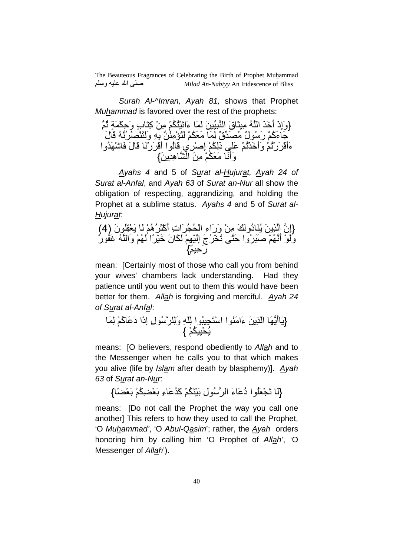Surah Al-^Imran, Ayah 81, shows that Prophet Muhammad is favored over the rest of the prophets:

وَ{ إِذْ أَqََ اُ. ِEَقَ ا.?ِkَ% َ)َ ءَاNَْGُHْ-ُ ْ%ِ آِGَبٍ وِ\$َHْ)ٍ,َ I.-ُ َ+ءَآْ-ُ رَُلٌ ُ[#َkقٌ ِ(َ َ9َHْ-ُ َGُu.%ُِْ ِِ: وََGَْ]ُ ُُ. Uَلَ ءَأَUْ َرْNْ-ُ وَأَqَْNْ-ُ ََ ذَِHْ-ُ إِْ ِي Uَُا أَUْ َرَْ Uَلَ َُ#َْ2وا وَأََ َ9َHْ-ُ َ%ِ ا\_.هَ%5ِ#ِ}

 Ayahs 4 and 5 of Surat al-Hujurat, Ayah 24 of Surat al-Anfal, and Ayah 63 of Surat an-Nur all show the obligation of respecting, aggrandizing, and holding the Prophet at a sublime status. Ayahs 4 and 5 of Surat al-Hujurat:

{إِن. ا.َ%5ِ َُ5دُوَCَ ْ%ِ وَرَاءِ اْBُhُ َاتِ أَآْEَ ُهْ-ُ َ ُِ4ْ9َ5نَ 4( ) وََْ أَْ-ُ. َ?َ ُوا َ\$G. Nَfْ ُجَ إْ-َِِْ َHَنَ qَْ ًا ْ-َُ وَاُ. َ7Sُرٌ رٌ-ِ\$َ}

mean: [Certainly most of those who call you from behind your wives' chambers lack understanding. Had they patience until you went out to them this would have been better for them. Allah is forgiving and merciful. Ayah 24 of Surat al-Anfal:

{َ5أ5َFَ ا.َ%5ِ ءَاَُا اْGَhِ?ُا ِ.ِ وَِ ُ.لِ إِذَا دَ َآْ-ُ ِ(َ { ْ-ُHِْBُ5

means: [O believers, respond obediently to Allah and to the Messenger when he calls you to that which makes you alive (life by Islam after death by blasphemy)]. Ayah 63 of Surat an-Nur.

{لَمَا تَجْعَلُوا دُعَاءَ الرَّسُولِ بَيْنَكُمْ كَدُعَاءِ بَعْضِكُمْ بَعْضَاً}

means: [Do not call the Prophet the way you call one another] This refers to how they used to call the Prophet, 'O Muhammad', 'O Abul-Qasim'; rather, the Ayah orders honoring him by calling him 'O Prophet of Allah', 'O Messenger of Allah').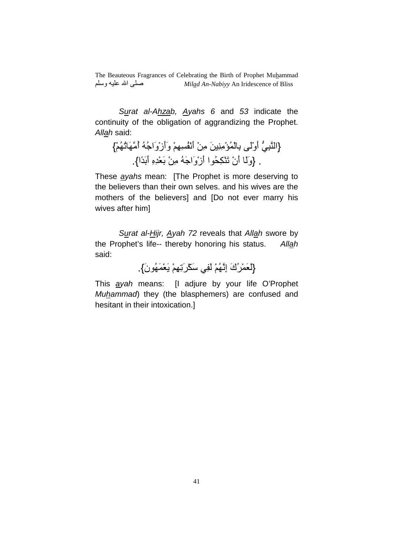Surat al-Ahzab, Ayahs 6 and 53 indicate the continuity of the obligation of aggrandizing the Prophet. Allah said:

{النَّبِيُّ أَوْلَى بِالْمُؤْمِنِينَ مِنْ أَنْفُسِهِمْ وَأَزْوَاجُهُ أَمَّهَاتُهُمْ} . {وَلَا أَنْ تَنْكِحُوا أَزْوَاجَهُ مِنْ بَعْدِهِ أَبَدًا}.

These ayahs mean: [The Prophet is more deserving to the believers than their own selves. and his wives are the mothers of the believers] and [Do not ever marry his wives after him]

Surat al-Hijr, Ayah 72 reveals that Allah swore by the Prophet's life-- thereby honoring his status. Allah said:

{لَعَمْرُكَ إِنَّهُمْ لَفِي سَكْرَتِهِمْ يَعْمَهُونَ}.

This ayah means: [I adjure by your life O'Prophet Muhammad) they (the blasphemers) are confused and hesitant in their intoxication.]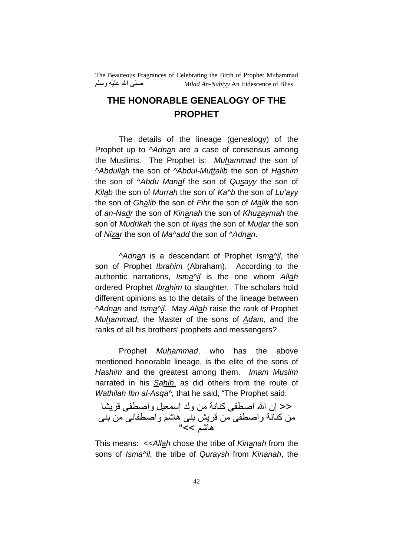#### **THE HONORABLE GENEALOGY OF THE PROPHET**

The details of the lineage (genealogy) of the Prophet up to *Adnan* are a case of consensus among the Muslims. The Prophet is: Muhammad the son of ^Abdullah the son of ^Abdul-Muttalib the son of Hashim the son of ^Abdu Manaf the son of Qusayy the son of Kilab the son of Murrah the son of Ka^b the son of Lu'ayy the son of Ghalib the son of Fihr the son of Malik the son of an-Nadr the son of Kinanah the son of Khuzaymah the son of Mudrikah the son of Ilyas the son of Mudar the son of Nizar the son of Ma^add the son of ^Adnan.

^Adnan is a descendant of Prophet Isma^il, the son of Prophet Ibrahim (Abraham). According to the authentic narrations, Isma^il is the one whom Allah ordered Prophet Ibrahim to slaughter. The scholars hold different opinions as to the details of the lineage between ^Adnan and Isma^il. May Allah raise the rank of Prophet Muhammad, the Master of the sons of  $Adam$ , and the ranks of all his brothers' prophets and messengers?

Prophet Muhammad, who has the above mentioned honorable lineage, is the elite of the sons of Hashim and the greatest among them. Imam Muslim narrated in his Sahih, as did others from the route of Wathilah Ibn al-Asga<sup> $\wedge$ </sup>, that he said, "The Prophet said:

ح< إن الله اصطفى كنانة من ولد إسمعيل واصطفى قريشا من كنانة واصطفى من قريش بني هاشم واصطفاني من بني هاشم >>"

This means: << Allah chose the tribe of Kinanah from the sons of Isma^il, the tribe of Quraysh from Kinanah, the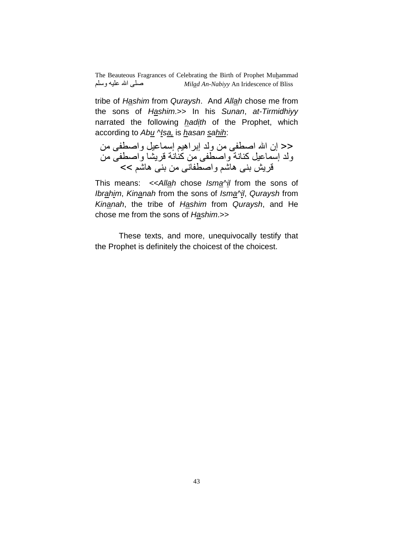tribe of Hashim from Quraysh. And Allah chose me from the sons of Hashim.>> In his Sunan, at-Tirmidhiyy narrated the following hadith of the Prophet, which according to Abu ^Isa, is hasan sahih:

حح إن الله اصطفى من ولد إبراهيم إسماعيل واصطفى من ولد إسماعيل كنانة واصطفى من كنانة قريشا واصطفى من قریش بنی هاشم واصطفانی من بنی هاشم >>

This means:  $\ll$  Allah chose Isma $\gamma$ <sup>i</sup>l from the sons of Ibrahim, Kinanah from the sons of Isma^il, Quraysh from Kinanah, the tribe of Hashim from Quraysh, and He chose me from the sons of Hashim.>>

These texts, and more, unequivocally testify that the Prophet is definitely the choicest of the choicest.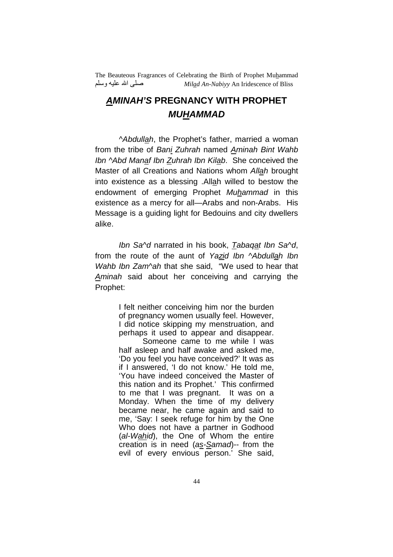#### **AMINAH'S PREGNANCY WITH PROPHET MUHAMMAD**

^Abdullah, the Prophet's father, married a woman from the tribe of Bani Zuhrah named Aminah Bint Wahb Ibn ^Abd Manaf Ibn Zuhrah Ibn Kilab. She conceived the Master of all Creations and Nations whom Allah brought into existence as a blessing .Allah willed to bestow the endowment of emerging Prophet Muhammad in this existence as a mercy for all—Arabs and non-Arabs. His Message is a guiding light for Bedouins and city dwellers alike.

Ibn Sa^d narrated in his book, Tabaqat Ibn Sa^d, from the route of the aunt of Yazid Ibn ^Abdullah Ibn Wahb Ibn Zam<sup>A</sup>ah that she said, "We used to hear that Aminah said about her conceiving and carrying the Prophet:

> I felt neither conceiving him nor the burden of pregnancy women usually feel. However, I did notice skipping my menstruation, and perhaps it used to appear and disappear.

> Someone came to me while I was half asleep and half awake and asked me, 'Do you feel you have conceived?' It was as if I answered, 'I do not know.' He told me, 'You have indeed conceived the Master of this nation and its Prophet.' This confirmed to me that I was pregnant. It was on a Monday. When the time of my delivery became near, he came again and said to me, 'Say: I seek refuge for him by the One Who does not have a partner in Godhood (al-Wahid), the One of Whom the entire creation is in need (as-Samad)-- from the evil of every envious person.' She said,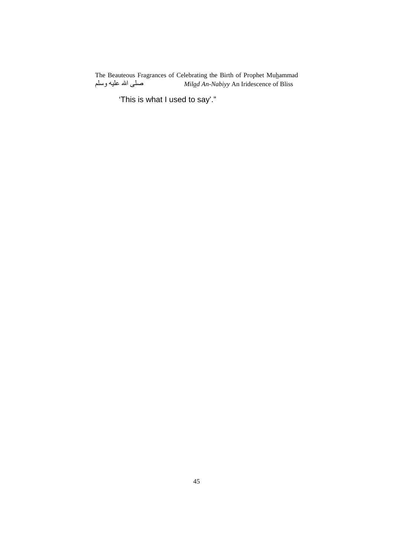'This is what I used to say'."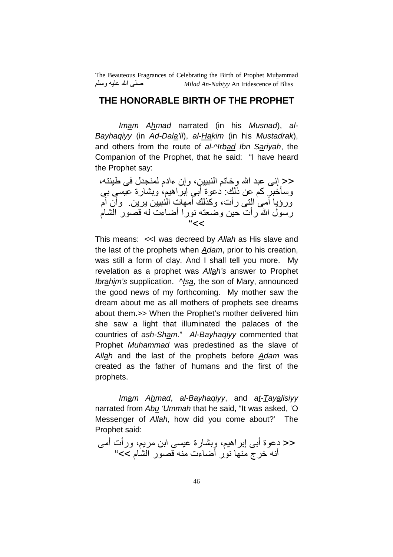#### **THE HONORABLE BIRTH OF THE PROPHET**

Imam Ahmad narrated (in his Musnad), al-Bayhaqiyy (in Ad-Dala'il), al-Hakim (in his Mustadrak), and others from the route of al-Nrbad Ibn Sariyah, the Companion of the Prophet, that he said: "I have heard the Prophet say:

<< إنـى عبد الله وخاتم النبيين، وإن ءادم لمنجدل في طبنته، وسأخبر كم عن ذلك: دعوة أبي إبر اهيم، وبشارة عيسى بي ورؤيا أمـي التـي رأت، وكذلك أمـهات النَّنبيين يرين ـ وأن أم رسول الله رأت حين وضعته نورا أضاءت له قصور الشام "<<

This means: <<I was decreed by Allah as His slave and the last of the prophets when Adam, prior to his creation, was still a form of clay. And I shall tell you more. My revelation as a prophet was Allah's answer to Prophet Ibrahim's supplication. Nsa, the son of Mary, announced the good news of my forthcoming. My mother saw the dream about me as all mothers of prophets see dreams about them.>> When the Prophet's mother delivered him she saw a light that illuminated the palaces of the countries of ash-Sham." Al-Bayhaqiyy commented that Prophet Muhammad was predestined as the slave of Allah and the last of the prophets before  $Adam$  was created as the father of humans and the first of the prophets.

Imam Ahmad, al-Bayhaqiyy, and at-Tayalisiyy narrated from Abu 'Ummah that he said, "It was asked, 'O Messenger of Allah, how did you come about?' The Prophet said:

<< دعوة أبـي إبراهيم، وبشارة عيسى ابن مريم، ورأت أمـي أنه خرج منها نور أضاءت منه قصور الشَّام >>"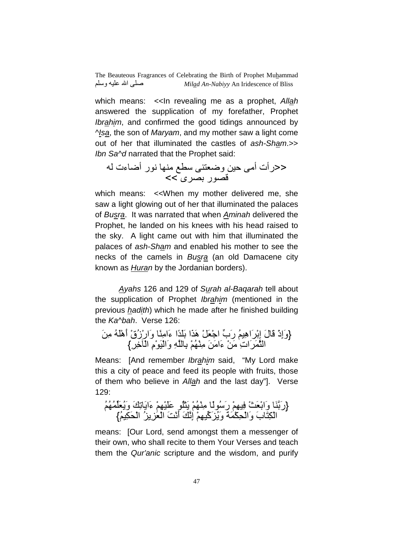which means: << In revealing me as a prophet, Allah answered the supplication of my forefather, Prophet Ibrahim, and confirmed the good tidings announced by ^Isa, the son of Maryam, and my mother saw a light come out of her that illuminated the castles of ash-Sham.>> Ibn Sa<sup>^</sup>d narrated that the Prophet said:

<<رأت أ %\$ وY9G Aw ر أYءت U]ر :[ ى >>

which means: <<When my mother delivered me, she saw a light glowing out of her that illuminated the palaces of Busra. It was narrated that when Aminah delivered the Prophet, he landed on his knees with his head raised to the sky. A light came out with him that illuminated the palaces of ash-Sham and enabled his mother to see the necks of the camels in Busra (an old Damacene city known as Huran by the Jordanian borders).

Ayahs 126 and 129 of Surah al-Baqarah tell about the supplication of Prophet Ibrahim (mentioned in the previous hadith) which he made after he finished building the Ka^bah. Verse 126:

{وَإِذْ Uَلَ إْ:ِ َاهُ-ِ رَبk اَ9ْ+\*ْ هََا ً#ََ:ا ءَاًِ وَارْزُقْ أَهَُْ َ%ِ اE.)َ َاتِ ْ%َ ءَاَ%َ ْ-ُِْ ِ:ِ. وَاَْْمِ اْqvِ ِ{

Means: [And remember Ibrahim said, "My Lord make this a city of peace and feed its people with fruits, those of them who believe in Allah and the last day"]. Verse 129:

{رَ.:َ وَاَ9ْ:~ْ ْ-ِِ رًَُ ْ-ُِْ َ5Gُْ ْ-ََِْ ءَاَ5NِCَ وَ9ُ5َk)ُ-ُُ { ُ-ِHَBْا ُM5ِMَ9ْا َ@َْأ َC.ِإ ْ-ِkآَMُ5َو َ,َ(ْHِBْاَو َبَGِHْا

means: [Our Lord, send amongst them a messenger of their own, who shall recite to them Your Verses and teach them the Qur'anic scripture and the wisdom, and purify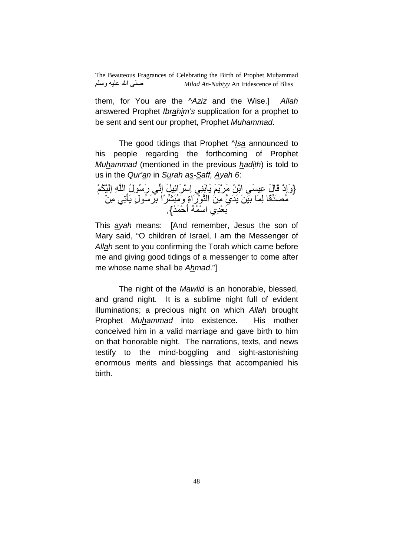them, for You are the ^Aziz and the Wise.] Allah answered Prophet Ibrahim's supplication for a prophet to be sent and sent our prophet, Prophet Muhammad.

The good tidings that Prophet *Nsa* announced to his people regarding the forthcoming of Prophet Muhammad (mentioned in the previous hadith) is told to us in the Qur'an in Surah as-Saff, Ayah 6:

{وَإِذْ قَالَ عِيسَى ابْنُ مَرْيَمَ يَابَنِي إِسْرَائِيلَ إِنِّي رَسُولُ اللَّهِ إِلَيْكُمْ مُصَدِّقًا لِمَا بَيْنَ يَدَيَّ مِنَ النَّوْرَاةِ وَمُبَشِّرًا بِرَسُولِ يَأْتِي مِنْ مِّعْدِي اسْمُهُ أَحْمَدُ}<sub>.</sub>

This ayah means: [And remember, Jesus the son of Mary said, "O children of Israel, I am the Messenger of Allah sent to you confirming the Torah which came before me and giving good tidings of a messenger to come after me whose name shall be Ahmad."]

The night of the *Mawlid* is an honorable, blessed, and grand night. It is a sublime night full of evident illuminations; a precious night on which Allah brought Prophet Muhammad into existence. His mother conceived him in a valid marriage and gave birth to him on that honorable night. The narrations, texts, and news testify to the mind-boggling and sight-astonishing enormous merits and blessings that accompanied his birth.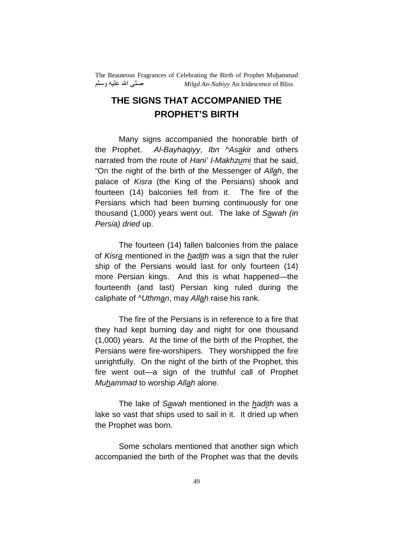## **THE SIGNS THAT ACCOMPANIED THE PROPHET'S BIRTH**

Many signs accompanied the honorable birth of the Prophet. Al-Bayhaqiyy, Ibn ^Asakir and others narrated from the route of Hani' I-Makhzumi that he said, "On the night of the birth of the Messenger of Allah, the palace of Kisra (the King of the Persians) shook and fourteen (14) balconies fell from it. The fire of the Persians which had been burning continuously for one thousand (1,000) years went out. The lake of Sawah (in Persia) dried up.

The fourteen (14) fallen balconies from the palace of Kisra mentioned in the hadith was a sign that the ruler ship of the Persians would last for only fourteen (14) more Persian kings. And this is what happened—the fourteenth (and last) Persian king ruled during the caliphate of *NUthman*, may Allah raise his rank.

The fire of the Persians is in reference to a fire that they had kept burning day and night for one thousand (1,000) years. At the time of the birth of the Prophet, the Persians were fire-worshipers. They worshipped the fire unrightfully. On the night of the birth of the Prophet, this fire went out—a sign of the truthful call of Prophet Muhammad to worship Allah alone.

The lake of Sawah mentioned in the hadith was a lake so vast that ships used to sail in it. It dried up when the Prophet was born.

Some scholars mentioned that another sign which accompanied the birth of the Prophet was that the devils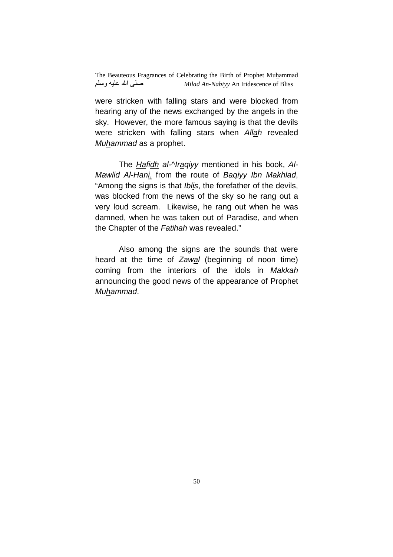were stricken with falling stars and were blocked from hearing any of the news exchanged by the angels in the sky. However, the more famous saying is that the devils were stricken with falling stars when Allah revealed Muhammad as a prophet.

The Hafidh al-^Iraqiyy mentioned in his book, Al-Mawlid Al-Hani, from the route of Baqiyy Ibn Makhlad, "Among the signs is that *Iblis*, the forefather of the devils, was blocked from the news of the sky so he rang out a very loud scream. Likewise, he rang out when he was damned, when he was taken out of Paradise, and when the Chapter of the Fatihah was revealed."

Also among the signs are the sounds that were heard at the time of Zawal (beginning of noon time) coming from the interiors of the idols in Makkah announcing the good news of the appearance of Prophet Muhammad.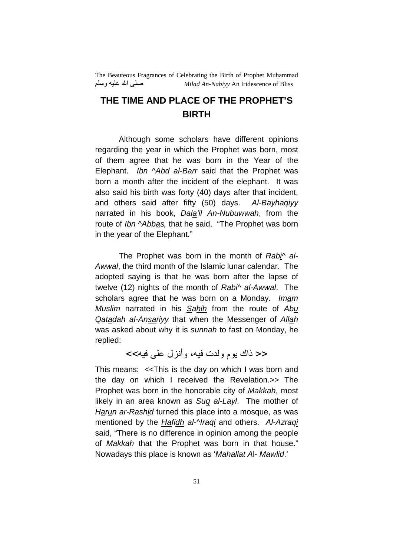#### **THE TIME AND PLACE OF THE PROPHET'S BIRTH**

Although some scholars have different opinions regarding the year in which the Prophet was born, most of them agree that he was born in the Year of the Elephant. Ibn ^Abd al-Barr said that the Prophet was born a month after the incident of the elephant. It was also said his birth was forty (40) days after that incident, and others said after fifty (50) days. Al-Bayhaqiyy narrated in his book, Dala'il An-Nubuwwah, from the route of Ibn ^Abbas, that he said, "The Prophet was born in the year of the Elephant."

The Prophet was born in the month of Rabi<sup> $\wedge$ </sup> al-Awwal, the third month of the Islamic lunar calendar. The adopted saying is that he was born after the lapse of twelve (12) nights of the month of Rabi<sup> $\land$ </sup> al-Awwal. The scholars agree that he was born on a Monday. Imam Muslim narrated in his Sahih from the route of Abu Qatadah al-Ansariyy that when the Messenger of Allah was asked about why it is sunnah to fast on Monday, he replied:

#### << ذاك بوم ولدت فيه، وأنزل على فيه>>

This means: <<This is the day on which I was born and the day on which I received the Revelation.>> The Prophet was born in the honorable city of Makkah, most likely in an area known as Sug al-Layl. The mother of Harun ar-Rashid turned this place into a mosque, as was mentioned by the Hafidh al-Nraqi and others. Al-Azraqi said, "There is no difference in opinion among the people of Makkah that the Prophet was born in that house." Nowadays this place is known as 'Mahallat Al- Mawlid.'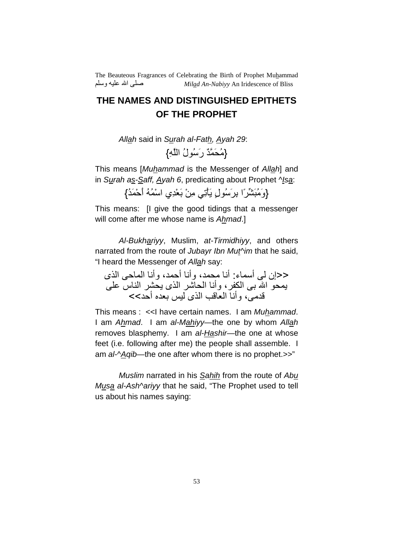#### **THE NAMES AND DISTINGUISHED EPITHETS OF THE PROPHET**

Allah said in Surah al-Fath, Ayah 29:

{مُحَمَّدٌ رَسُولُ اللَّهِ}

This means [Muhammad is the Messenger of Allah] and in Surah as-Saff, Ayah 6, predicating about Prophet ^Isa:

{وَهَٰبَشِّرٍّ إِ بِرَسُولٍ يَأْتِي مِنْ بَعْدِي اسْمُهُ أَحْمَدُ}

This means: [I give the good tidings that a messenger will come after me whose name is Ahmad.]

Al-Bukhariyy, Muslim, at-Tirmidhiyy, and others narrated from the route of Jubayr Ibn Mut<sup> $\land$ </sup>im that he said, "I heard the Messenger of Allah say:

<<إن لي أسماء: أنا محمد، و أنا أحمد، و أنا الماحي الذي يمحو الله بـي الكفر، وأنـا الـحاشر الذي يـحشر النـاس علـي قدمى، وأنـا الـعاقب الذى ليس بـعده أحد>>

This means : << I have certain names. I am Muhammad. I am Ahmad. I am al-Mahiyy—the one by whom Allah removes blasphemy. I am al-Hashir—the one at whose feet (i.e. following after me) the people shall assemble. I am  $al$ - $\overline{A}qib$ —the one after whom there is no prophet.>>"

Muslim narrated in his Sahih from the route of Abu Musa al-Ash^ariyy that he said, "The Prophet used to tell us about his names saying: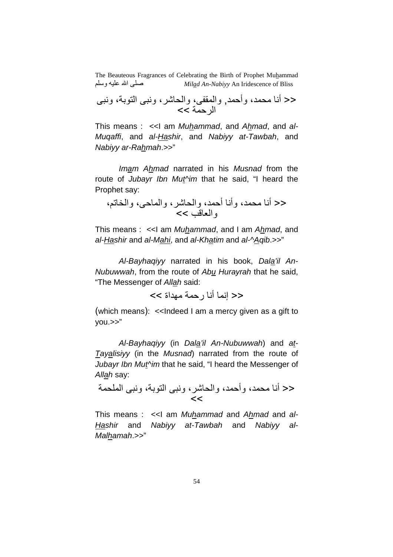<< أ B)،# وأ\$(,# وا(4S، واB2 ، و? اG،,: و? ا \$(, >>

This means :  $\ll$ I am *Muhammad*, and *Ahmad*, and *al-*Muqaffi, and al-Hashir, and Nabiyy at-Tawbah, and Nabiyy ar-Rahmah.>>"

Imam Ahmad narrated in his Musnad from the route of Jubayr Ibn Mut<sup>k</sup>im that he said, "I heard the Prophet say:

<< أ B)،# وأ أ\$(،# واB2 ، وا(\$، واfN،-وا9mU<<

This means : << I am Muhammad, and I am Ahmad, and al-Hashir and al-Mahi, and al-Khatim and al-^Aqib.>>"

Al-Bayhaqiyy narrated in his book, Dala'il An-Nubuwwah, from the route of Abu Hurayrah that he said, "The Messenger of Allah said:

<< إنما أنا رحمة مهداة >>

(which means): << Indeed I am a mercy given as a gift to you.>>"

Al-Bayhaqiyy (in Dala'il An-Nubuwwah) and at-Tayalisiyy (in the Musnad) narrated from the route of Jubayr Ibn Mut<sup>k</sup>im that he said, "I heard the Messenger of Allah say:

<< أ B)،# وأ\$(،# واB2 ، و? اG،,: و? ا(B), <<

This means :  $\ll$ I am *Muhammad* and *Ahmad* and *al-*Hashir and Nabiyy at-Tawbah and Nabiyy al-Malhamah.>>"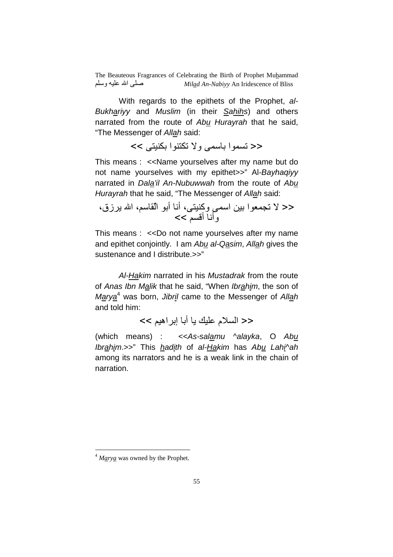With regards to the epithets of the Prophet, al-Bukhariyy and Muslim (in their Sahihs) and others narrated from the route of Abu Hurayrah that he said, "The Messenger of Allah said:

 $\le$ << تسموا باسمے ولا تكتنوا بكنيتے >>

This means : <<Name yourselves after my name but do not name yourselves with my epithet>>" Al-Bayhaqiyy narrated in Dala'il An-Nubuwwah from the route of Abu Hurayrah that he said, "The Messenger of Allah said:

<< L hN)9ا %: ا( وآG، أ أ: ا4ٌ،- ا 5 زق، وأ أU--<<

This means : <<Do not name yourselves after my name and epithet conjointly. I am Abu al-Qasim, Allah gives the sustenance and I distribute.>>"

Al-Hakim narrated in his Mustadrak from the route of Anas Ibn Malik that he said, "When Ibrahim, the son of Marya<sup>4</sup> was born, Jibril came to the Messenger of Allah and told him:

<< السلام عليك يا أبا إبراهيم >>

(which means) : << As-salamu ^alayka, O Abu Ibrahim.>>" This hadith of al-Hakim has Abu Lahi^ah among its narrators and he is a weak link in the chain of narration.

 $\overline{a}$ 

 $4$  *Marya* was owned by the Prophet.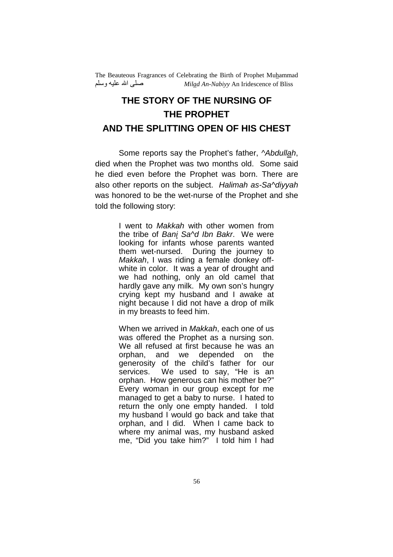# **THE STORY OF THE NURSING OF THE PROPHET AND THE SPLITTING OPEN OF HIS CHEST**

Some reports say the Prophet's father, Abdullah, died when the Prophet was two months old. Some said he died even before the Prophet was born. There are also other reports on the subject. Halimah as-Sa^diyyah was honored to be the wet-nurse of the Prophet and she told the following story:

> I went to Makkah with other women from the tribe of Bani Sa<sup>nd</sup> Ibn Bakr. We were looking for infants whose parents wanted them wet-nursed. During the journey to Makkah, I was riding a female donkey offwhite in color. It was a year of drought and we had nothing, only an old camel that hardly gave any milk. My own son's hungry crying kept my husband and I awake at night because I did not have a drop of milk in my breasts to feed him.

> When we arrived in Makkah, each one of us was offered the Prophet as a nursing son. We all refused at first because he was an orphan, and we depended on the generosity of the child's father for our services. We used to say, "He is an orphan. How generous can his mother be?" Every woman in our group except for me managed to get a baby to nurse. I hated to return the only one empty handed. I told my husband I would go back and take that orphan, and I did. When I came back to where my animal was, my husband asked me, "Did you take him?" I told him I had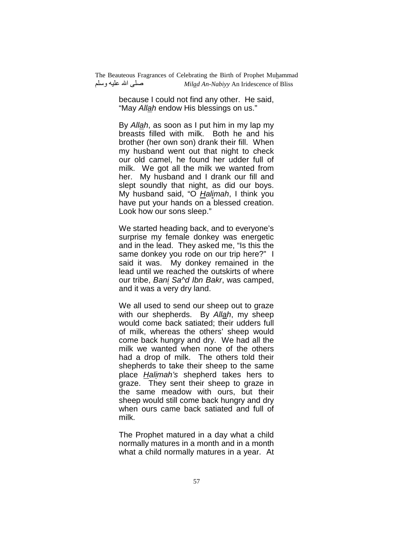> because I could not find any other. He said, "May Allah endow His blessings on us."

> By Allah, as soon as I put him in my lap my breasts filled with milk. Both he and his brother (her own son) drank their fill. When my husband went out that night to check our old camel, he found her udder full of milk. We got all the milk we wanted from her. My husband and I drank our fill and slept soundly that night, as did our boys. My husband said, "O Halimah, I think you have put your hands on a blessed creation. Look how our sons sleep."

> We started heading back, and to everyone's surprise my female donkey was energetic and in the lead. They asked me, "Is this the same donkey you rode on our trip here?" I said it was. My donkey remained in the lead until we reached the outskirts of where our tribe, Bani Sa^d Ibn Bakr, was camped, and it was a very dry land.

> We all used to send our sheep out to graze with our shepherds. By Allah, my sheep would come back satiated; their udders full of milk, whereas the others' sheep would come back hungry and dry. We had all the milk we wanted when none of the others had a drop of milk. The others told their shepherds to take their sheep to the same place Halimah's shepherd takes hers to graze. They sent their sheep to graze in the same meadow with ours, but their sheep would still come back hungry and dry when ours came back satiated and full of milk.

The Prophet matured in a day what a child normally matures in a month and in a month what a child normally matures in a year. At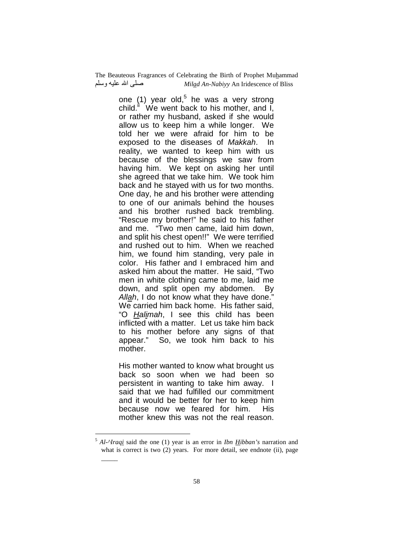> one (1) year old,<sup>5</sup> he was a very strong child.<sup>ii</sup> We went back to his mother, and  $\tilde{I}$ , or rather my husband, asked if she would allow us to keep him a while longer. We told her we were afraid for him to be exposed to the diseases of Makkah. In reality, we wanted to keep him with us because of the blessings we saw from having him. We kept on asking her until she agreed that we take him. We took him back and he stayed with us for two months. One day, he and his brother were attending to one of our animals behind the houses and his brother rushed back trembling. "Rescue my brother!" he said to his father and me. "Two men came, laid him down, and split his chest open!!" We were terrified and rushed out to him. When we reached him, we found him standing, very pale in color. His father and I embraced him and asked him about the matter. He said, "Two men in white clothing came to me, laid me down, and split open my abdomen. By Allah, I do not know what they have done.' We carried him back home. His father said, "O Halimah, I see this child has been inflicted with a matter. Let us take him back to his mother before any signs of that appear." So, we took him back to his mother.

His mother wanted to know what brought us back so soon when we had been so persistent in wanting to take him away. I said that we had fulfilled our commitment and it would be better for her to keep him because now we feared for him. His mother knew this was not the real reason.

 $\overline{a}$ 

 $\overline{\phantom{a}}$ 

<sup>5</sup> *Al-^Iraqi* said the one (1) year is an error in *Ibn Hibban's* narration and what is correct is two (2) years. For more detail, see endnote (ii), page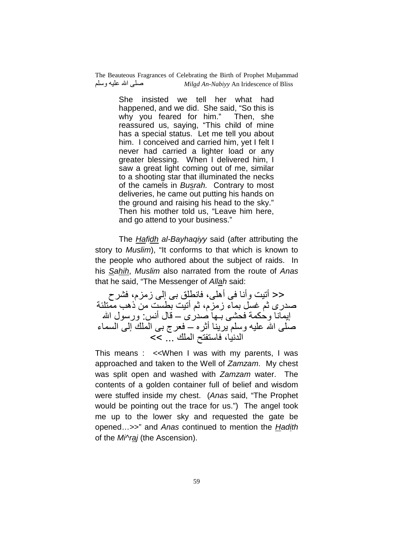> She insisted we tell her what had happened, and we did. She said, "So this is why you feared for him." Then, she reassured us, saying, "This child of mine has a special status. Let me tell you about him. I conceived and carried him, yet I felt I never had carried a lighter load or any greater blessing. When I delivered him, I saw a great light coming out of me, similar to a shooting star that illuminated the necks of the camels in Busrah. Contrary to most deliveries, he came out putting his hands on the ground and raising his head to the sky." Then his mother told us, "Leave him here, and go attend to your business."

 The Hafidh al-Bayhaqiyy said (after attributing the story to Muslim), "It conforms to that which is known to the people who authored about the subject of raids. In his Sahih, Muslim also narrated from the route of Anas that he said, "The Messenger of Allah said:

ح< أننيت وأنـا فـي أهلـي، فانطلق بـي إلـي زمزم، فشرح صدرى ثم غسل بماء زمزم، ثم أنيت بطست من ذهب ممّنلئة إيمانا وحكمة فحشى بــها صدرى ـــ قال أنس: ورسول الله صلَّى الله عليه وسلَّم يرينـا أثره ـــ فعرج بـي الملك إلى السماء الدنيا، فاستفتح الملك \_\_ >>

This means : <<When I was with my parents, I was approached and taken to the Well of Zamzam. My chest was split open and washed with Zamzam water. The contents of a golden container full of belief and wisdom were stuffed inside my chest. (Anas said, "The Prophet would be pointing out the trace for us.") The angel took me up to the lower sky and requested the gate be opened...>>" and Anas continued to mention the Hadith of the Mi^raj (the Ascension).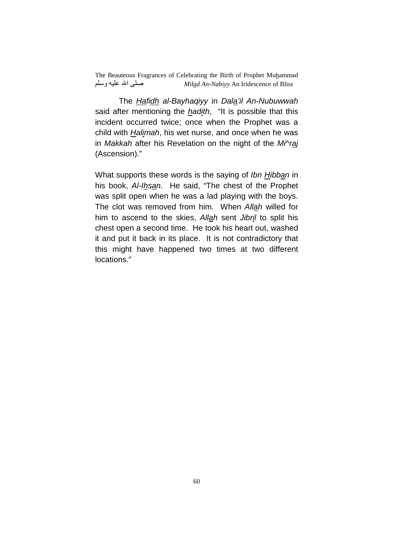The Hafidh al-Bayhaqiyy in Dala'il An-Nubuwwah said after mentioning the hadith, "It is possible that this incident occurred twice; once when the Prophet was a child with Halimah, his wet nurse, and once when he was in Makkah after his Revelation on the night of the Mi^raj (Ascension)."

What supports these words is the saying of Ibn Hibban in his book, Al-Ihsan. He said, "The chest of the Prophet was split open when he was a lad playing with the boys. The clot was removed from him. When Allah willed for him to ascend to the skies, Allah sent Jibril to split his chest open a second time. He took his heart out, washed it and put it back in its place. It is not contradictory that this might have happened two times at two different locations."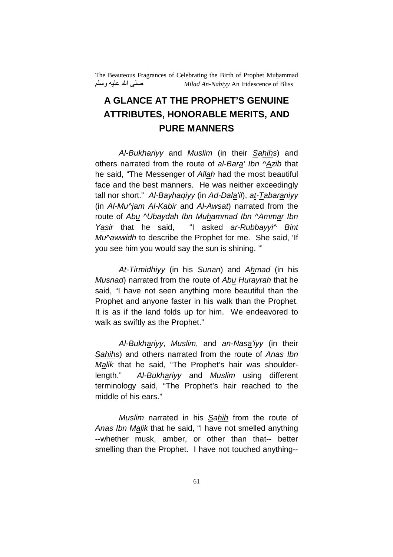# **A GLANCE AT THE PROPHET'S GENUINE ATTRIBUTES, HONORABLE MERITS, AND PURE MANNERS**

Al-Bukhariyy and Muslim (in their Sahihs) and others narrated from the route of al-Bara' Ibn ^Azib that he said, "The Messenger of Allah had the most beautiful face and the best manners. He was neither exceedingly tall nor short." Al-Bayhaqiyy (in Ad-Dala'il), at-Tabaraniyy (in Al-Mu^jam Al-Kabir and Al-Awsat) narrated from the route of Abu ^Ubaydah Ibn Muhammad Ibn ^Ammar Ibn Yasir that he said, "I asked ar-Rubbayyi<sup>^</sup> Bint Mu^awwidh to describe the Prophet for me. She said, 'If you see him you would say the sun is shining. '"

At-Tirmidhiyy (in his Sunan) and Ahmad (in his Musnad) narrated from the route of Abu Hurayrah that he said, "I have not seen anything more beautiful than the Prophet and anyone faster in his walk than the Prophet. It is as if the land folds up for him. We endeavored to walk as swiftly as the Prophet."

Al-Bukhariyy, Muslim, and an-Nasa'iyy (in their Sahihs) and others narrated from the route of Anas Ibn Malik that he said, "The Prophet's hair was shoulderlength." Al-Bukhariyy and Muslim using different terminology said, "The Prophet's hair reached to the middle of his ears."

Muslim narrated in his Sahih from the route of Anas Ibn Malik that he said, "I have not smelled anything --whether musk, amber, or other than that-- better smelling than the Prophet. I have not touched anything--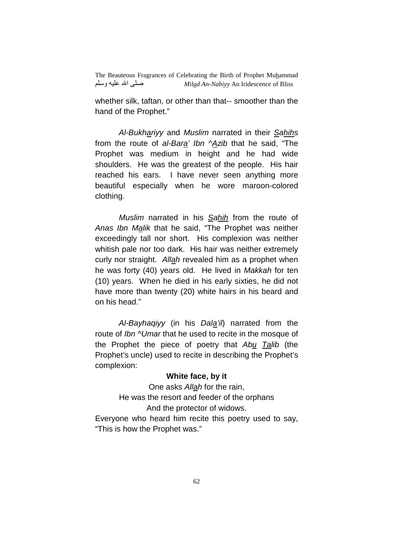whether silk, taftan, or other than that-- smoother than the hand of the Prophet."

Al-Bukhariyy and Muslim narrated in their Sahihs from the route of al-Bara' Ibn ^Azib that he said, "The Prophet was medium in height and he had wide shoulders. He was the greatest of the people. His hair reached his ears. I have never seen anything more beautiful especially when he wore maroon-colored clothing.

Muslim narrated in his Sahih from the route of Anas Ibn Malik that he said, "The Prophet was neither exceedingly tall nor short. His complexion was neither whitish pale nor too dark. His hair was neither extremely curly nor straight. Allah revealed him as a prophet when he was forty (40) years old. He lived in Makkah for ten (10) years. When he died in his early sixties, he did not have more than twenty (20) white hairs in his beard and on his head."

Al-Bayhaqiyy (in his Dala'il) narrated from the route of Ibn ^Umar that he used to recite in the mosque of the Prophet the piece of poetry that Abu Talib (the Prophet's uncle) used to recite in describing the Prophet's complexion:

#### **White face, by it**

One asks Allah for the rain, He was the resort and feeder of the orphans And the protector of widows. Everyone who heard him recite this poetry used to say, "This is how the Prophet was."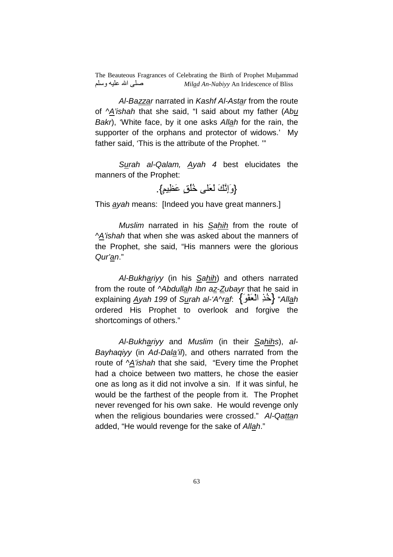Al-Bazzar narrated in Kashf Al-Astar from the route of  $\Delta$ 'ishah that she said, "I said about my father (Abu Bakr), 'White face, by it one asks Allah for the rain, the supporter of the orphans and protector of widows.' My father said, 'This is the attribute of the Prophet. '"

Surah al-Qalam, Ayah 4 best elucidates the manners of the Prophet:

{. ٍ-ِlَ ٍ[ُُq َ9َ َC.ِإَو{

This ayah means: [Indeed you have great manners.]

Muslim narrated in his Sahih from the route of ^A'ishah that when she was asked about the manners of the Prophet, she said, "His manners were the glorious Qur'an."

Al-Bukhariyy (in his Sahih) and others narrated from the route of *^Abdullah Ibn az-Zubayr* that he said in explaining <u>Ayah 199 of Su</u>rah al-'A^r<u>af:</u> {خُذِ الْعَفْوَ} "All<u>a</u>h ordered His Prophet to overlook and forgive the shortcomings of others."

Al-Bukhariyy and Muslim (in their Sahihs), al-Bayhaqiyy (in Ad-Dala'il), and others narrated from the route of ^A'ishah that she said, "Every time the Prophet had a choice between two matters, he chose the easier one as long as it did not involve a sin. If it was sinful, he would be the farthest of the people from it. The Prophet never revenged for his own sake. He would revenge only when the religious boundaries were crossed." Al-Qattan added, "He would revenge for the sake of Allah."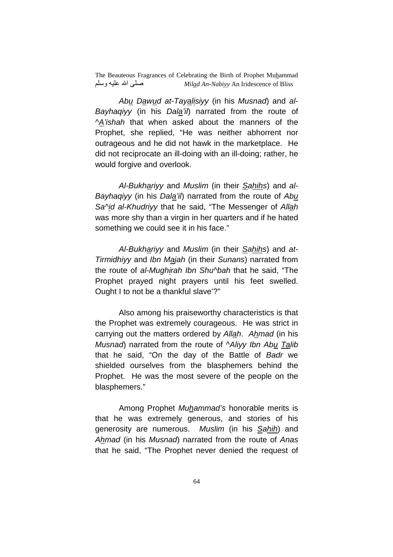Abu Dawud at-Tayalisiyy (in his Musnad) and al-Bayhaqiyy (in his Dala'il) narrated from the route of ^A'ishah that when asked about the manners of the Prophet, she replied, "He was neither abhorrent nor outrageous and he did not hawk in the marketplace. He did not reciprocate an ill-doing with an ill-doing; rather, he would forgive and overlook.

Al-Bukhariyy and Muslim (in their Sahihs) and al-Bayhaqiyy (in his Dala'il) narrated from the route of Abu Sa^id al-Khudriyy that he said, "The Messenger of Allah was more shy than a virgin in her quarters and if he hated something we could see it in his face."

Al-Bukhariyy and Muslim (in their Sahihs) and at-Tirmidhiyy and Ibn Majah (in their Sunans) narrated from the route of al-Mughirah Ibn Shu^bah that he said, "The Prophet prayed night prayers until his feet swelled. Ought I to not be a thankful slave'?"

 Also among his praiseworthy characteristics is that the Prophet was extremely courageous. He was strict in carrying out the matters ordered by Allah. Ahmad (in his Musnad) narrated from the route of ^Aliyy Ibn Abu Talib that he said, "On the day of the Battle of Badr we shielded ourselves from the blasphemers behind the Prophet. He was the most severe of the people on the blasphemers."

Among Prophet Muhammad's honorable merits is that he was extremely generous, and stories of his generosity are numerous. Muslim (in his Sahih) and Ahmad (in his Musnad) narrated from the route of Anas that he said, "The Prophet never denied the request of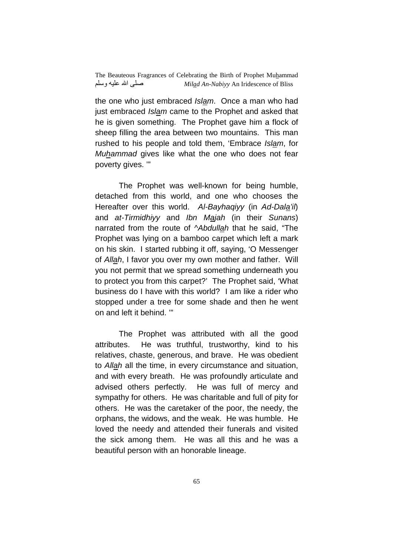the one who just embraced Islam. Once a man who had just embraced *Islam* came to the Prophet and asked that he is given something. The Prophet gave him a flock of sheep filling the area between two mountains. This man rushed to his people and told them, 'Embrace Islam, for Muhammad gives like what the one who does not fear poverty gives. '"

 The Prophet was well-known for being humble, detached from this world, and one who chooses the Hereafter over this world. Al-Bayhaqiyy (in Ad-Dala'il) and at-Tirmidhiyy and Ibn Majah (in their Sunans) narrated from the route of *^Abdullah* that he said, "The Prophet was lying on a bamboo carpet which left a mark on his skin. I started rubbing it off, saying, 'O Messenger of Allah, I favor you over my own mother and father. Will you not permit that we spread something underneath you to protect you from this carpet?' The Prophet said, 'What business do I have with this world? I am like a rider who stopped under a tree for some shade and then he went on and left it behind. '"

 The Prophet was attributed with all the good attributes. He was truthful, trustworthy, kind to his relatives, chaste, generous, and brave. He was obedient to Allah all the time, in every circumstance and situation, and with every breath. He was profoundly articulate and advised others perfectly. He was full of mercy and sympathy for others. He was charitable and full of pity for others. He was the caretaker of the poor, the needy, the orphans, the widows, and the weak. He was humble. He loved the needy and attended their funerals and visited the sick among them. He was all this and he was a beautiful person with an honorable lineage.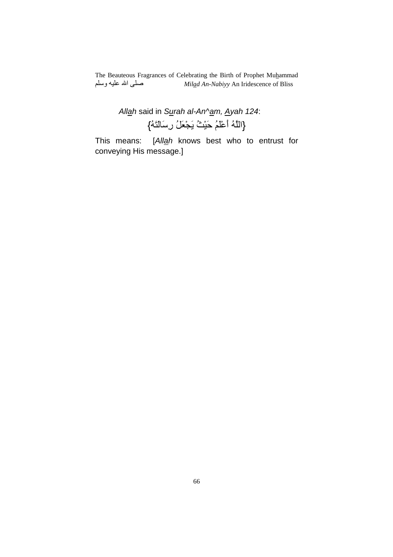> Allah said in Surah al-An^am, Ayah 124: {اللَّهُ أَعْلَمُ حَيْثُ يَجْعَلُ رِسَالَتَهُ}

This means: [Allah knows best who to entrust for conveying His message.]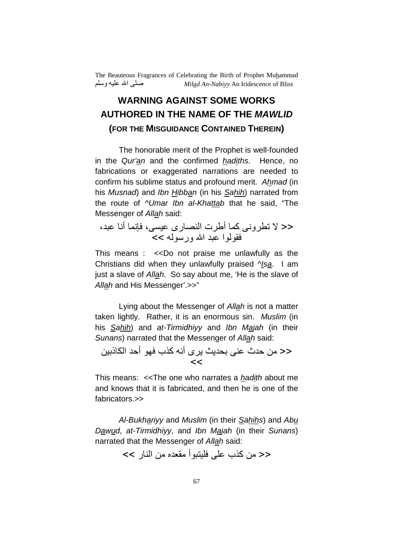# **WARNING AGAINST SOME WORKS AUTHORED IN THE NAME OF THE MAWLID (FOR THE MISGUIDANCE CONTAINED THEREIN)**

 The honorable merit of the Prophet is well-founded in the Qur'an and the confirmed hadiths. Hence, no fabrications or exaggerated narrations are needed to confirm his sublime status and profound merit. Ahmad (in his Musnad) and Ibn Hibban (in his Sahih) narrated from the route of *NUmar Ibn al-Khattab* that he said, "The Messenger of Allah said:

<< L wN و آ( أD ت ا[رى -، c )أ ?،# 4ا ?# ا ور >>

This means : <<Do not praise me unlawfully as the Christians did when they unlawfully praised  $\sqrt{a}$ . I am just a slave of Allah. So say about me, 'He is the slave of Allah and His Messenger'.>>"

 Lying about the Messenger of Allah is not a matter taken lightly. Rather, it is an enormous sin. Muslim (in his **Sahih**) and at-Tirmidhiyy and Ibn Majah (in their Sunans) narrated that the Messenger of Allah said:

### << من حدث عني بحديث يرى أنه كذب فهو أحد الكاذبين  $<<$

This means: <<The one who narrates a hadith about me and knows that it is fabricated, and then he is one of the fabricators.>>

Al-Bukhariyy and Muslim (in their Sahihs) and Abu Dawud, at-Tirmidhiyy, and Ibn Majah (in their Sunans) narrated that the Messenger of Allah said:

 $\lt\lt\leq\alpha$ ن كذب على فليتبو أ مقعده من النار  $\gt\geq$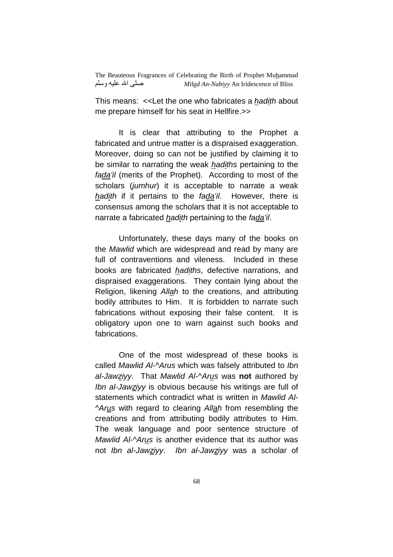This means: <<Let the one who fabricates a hadith about me prepare himself for his seat in Hellfire.>>

 It is clear that attributing to the Prophet a fabricated and untrue matter is a dispraised exaggeration. Moreover, doing so can not be justified by claiming it to be similar to narrating the weak *hadiths* pertaining to the fada'il (merits of the Prophet). According to most of the scholars (jumhur) it is acceptable to narrate a weak hadith if it pertains to the fada'il. However, there is consensus among the scholars that it is not acceptable to narrate a fabricated hadith pertaining to the fada'il.

 Unfortunately, these days many of the books on the Mawlid which are widespread and read by many are full of contraventions and vileness. Included in these books are fabricated hadiths, defective narrations, and dispraised exaggerations. They contain lying about the Religion, likening Allah to the creations, and attributing bodily attributes to Him. It is forbidden to narrate such fabrications without exposing their false content. It is obligatory upon one to warn against such books and fabrications.

 One of the most widespread of these books is called Mawlid Al-^Arus which was falsely attributed to Ibn al-Jawziyy. That Mawlid Al-^Arus was **not** authored by Ibn al-Jawziyy is obvious because his writings are full of statements which contradict what is written in Mawlid Al-^Arus with regard to clearing Allah from resembling the creations and from attributing bodily attributes to Him. The weak language and poor sentence structure of Mawlid Al-^Arus is another evidence that its author was not Ibn al-Jawziyy. Ibn al-Jawziyy was a scholar of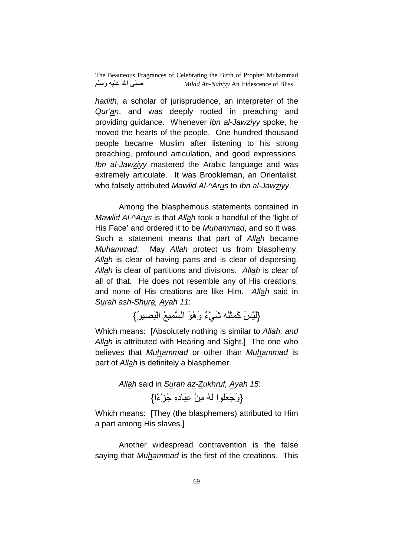hadith, a scholar of jurisprudence, an interpreter of the Qur'an, and was deeply rooted in preaching and providing guidance. Whenever Ibn al-Jawziyy spoke, he moved the hearts of the people. One hundred thousand people became Muslim after listening to his strong preaching, profound articulation, and good expressions. Ibn al-Jawziyy mastered the Arabic language and was extremely articulate. It was Brookleman, an Orientalist, who falsely attributed Mawlid Al-^Arus to Ibn al-Jawziyy.

 Among the blasphemous statements contained in Mawlid Al-^Arus is that Allah took a handful of the 'light of His Face' and ordered it to be Muhammad, and so it was. Such a statement means that part of Allah became Muhammad. May Allah protect us from blasphemy. Allah is clear of having parts and is clear of dispersing. Allah is clear of partitions and divisions. Allah is clear of all of that. He does not resemble any of His creations, and none of His creations are like Him. Allah said in Surah ash-Shura, Ayah 11:

{لَيْسَ كَمِثْلِهِ شَيْءٌ وَهُوَ السَّمِيعُ الْبَصِيرُ}

Which means: [Absolutely nothing is similar to Allah, and Allah is attributed with Hearing and Sight.] The one who believes that Muhammad or other than Muhammad is part of Allah is definitely a blasphemer.

> Allah said in Surah az-Zukhruf, Ayah 15: {وَجَعَلُوا لَهُ مِنْ عِبَادِهِ جُزْءًا}

Which means: [They (the blasphemers) attributed to Him a part among His slaves.]

 Another widespread contravention is the false saying that Muhammad is the first of the creations. This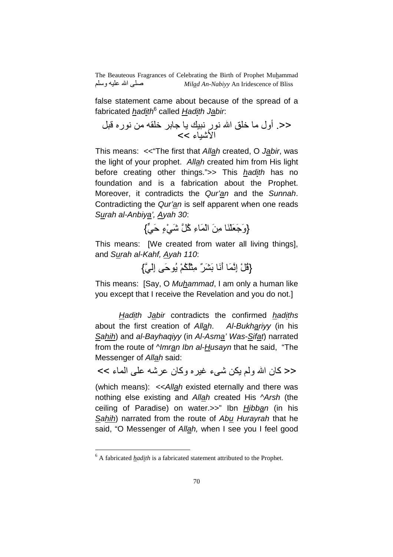false statement came about because of the spread of a fabricated *had<u>i</u>th*<sup>6</sup> called *Had<u>i</u>th J<u>a</u>bir*:

<<. أول q [ا ر ?C 5 +: q4 % ر8 U \*? اd2ء >>

This means: <<"The first that Allah created, O Jabir, was the light of your prophet. Allah created him from His light before creating other things.">> This hadith has no foundation and is a fabrication about the Prophet. Moreover, it contradicts the Qur'an and the Sunnah. Contradicting the Qur'an is self apparent when one reads Surah al-Anbiya', Ayah 30:

{وَجَعَلْنَا مِنَ الْمَاءِ كُلَّ شَيْءٍ حَيٍّ}

This means: [We created from water all living things], and Surah al-Kahf, Ayah 110:

{قُلْ إِنَّمَا أَنَا بَشَرٌ" مِثْلُكُمْ يُوحَى إِلَيَّ}

This means: [Say, O Muhammad, I am only a human like you except that I receive the Revelation and you do not.]

Hadith Jabir contradicts the confirmed hadiths about the first creation of Allah. Al-Bukhariyy (in his Sahih) and al-Bayhaqiyy (in Al-Asma' Was-Sifat) narrated from the route of *Nmran Ibn al-Husayn* that he said, "The Messenger of Allah said:

ح< كان الله ولم يكن شيء غيره وكان عرشه على الماء >>

(which means): << Allah existed eternally and there was nothing else existing and Allah created His ^Arsh (the ceiling of Paradise) on water.>>" Ibn *Hibban* (in his Sahih) narrated from the route of Abu Hurayrah that he said, "O Messenger of Allah, when I see you I feel good

 $\overline{a}$ 

<sup>&</sup>lt;sup>6</sup> A fabricated *hadith* is a fabricated statement attributed to the Prophet.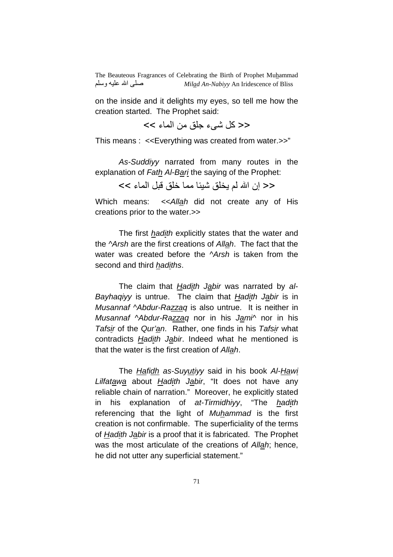on the inside and it delights my eyes, so tell me how the creation started. The Prophet said:

 $<<$  كل شيء جلق من الماء  $<<$ 

This means : <<Everything was created from water.>>"

As-Suddiyy narrated from many routes in the explanation of Fath Al-Bari the saying of the Prophet:

<< إن الله لم يخلق شيئا مما خلق قبل الماء >>

Which means: << Allah did not create any of His creations prior to the water.>>

 The first hadith explicitly states that the water and the ^Arsh are the first creations of Allah. The fact that the water was created before the Arsh is taken from the second and third hadiths.

The claim that Hadith Jabir was narrated by al-Bayhaqiyy is untrue. The claim that Hadith Jabir is in Musannaf ^Abdur-Razzaq is also untrue. It is neither in Musannaf ^Abdur-Razzaq nor in his Jami^ nor in his Tafsir of the Qur'an. Rather, one finds in his Tafsir what contradicts Hadith Jabir. Indeed what he mentioned is that the water is the first creation of Allah.

The *Hafidh* as-Suyutiyy said in his book Al-Hawi Lilfatawa about Hadith Jabir, "It does not have any reliable chain of narration." Moreover, he explicitly stated in his explanation of at-Tirmidhiyy, "The hadith referencing that the light of Muhammad is the first creation is not confirmable. The superficiality of the terms of Hadith Jabir is a proof that it is fabricated. The Prophet was the most articulate of the creations of Allah; hence, he did not utter any superficial statement."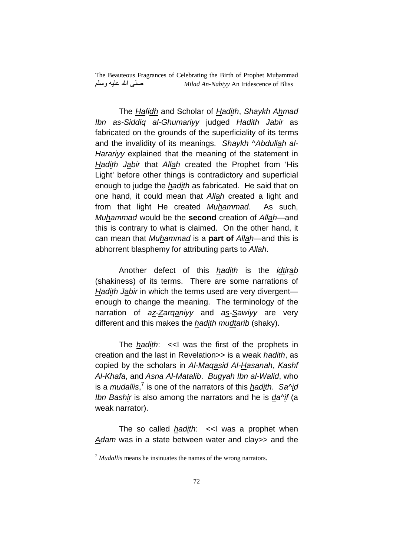The Hafidh and Scholar of Hadith, Shaykh Ahmad Ibn as-Siddiq al-Ghumariyy judged Hadith Jabir as fabricated on the grounds of the superficiality of its terms and the invalidity of its meanings. Shaykh ^Abdullah al-Harariyy explained that the meaning of the statement in Hadith Jabir that Allah created the Prophet from 'His Light' before other things is contradictory and superficial enough to judge the hadith as fabricated. He said that on one hand, it could mean that Allah created a light and from that light He created Muhammad. As such, Muhammad would be the **second** creation of Allah—and this is contrary to what is claimed. On the other hand, it can mean that Muhammad is a **part of** Allah—and this is abhorrent blasphemy for attributing parts to Allah.

Another defect of this *hadith* is the *idtirab* (shakiness) of its terms. There are some narrations of Hadith Jabir in which the terms used are very divergent enough to change the meaning. The terminology of the narration of az-Zarganiyy and as-Sawiyy are very different and this makes the *hadith mudtarib* (shaky).

The *hadith*:  $\lt$ I was the first of the prophets in creation and the last in Revelation>> is a weak hadith, as copied by the scholars in Al-Maqasid Al-Hasanah, Kashf Al-Khafa, and Asna Al-Matalib. Bugyah Ibn al-Walid, who is a *mudallis*,<sup>7</sup> is one of the narrators of this *hadith. Sa^id* Ibn Bashir is also among the narrators and he is  $da^i$  (a weak narrator).

The so called  $h$ adith: << I was a prophet when Adam was in a state between water and clay>> and the

 $\overline{a}$ 

<sup>7</sup> *Mudallis* means he insinuates the names of the wrong narrators.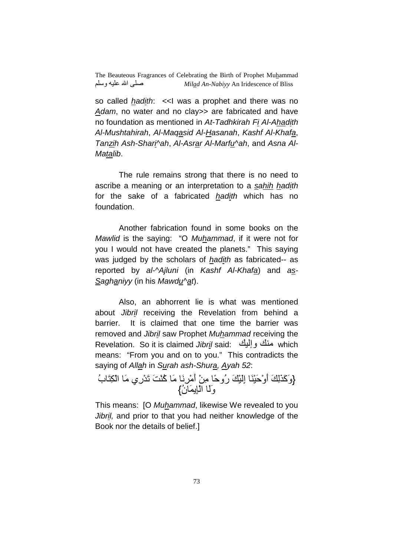so called *hadith*: << I was a prophet and there was no Adam, no water and no clay >> are fabricated and have no foundation as mentioned in At-Tadhkirah Fi Al-Ahadith Al-Mushtahirah, Al-Maqasid Al-Hasanah, Kashf Al-Khafa, Tanzih Ash-Shari^ah, Al-Asrar Al-Marfu^ah, and Asna Al-Matalib.

 The rule remains strong that there is no need to ascribe a meaning or an interpretation to a sahih hadith for the sake of a fabricated hadith which has no foundation.

 Another fabrication found in some books on the Mawlid is the saying: "O Muhammad, if it were not for you I would not have created the planets." This saying was judged by the scholars of hadith as fabricated-- as reported by al-^Ajluni (in Kashf Al-Khafa) and as-Saghaniyy (in his Mawdu^at).

 Also, an abhorrent lie is what was mentioned about Jibril receiving the Revelation from behind a barrier. It is claimed that one time the barrier was removed and Jibril saw Prophet Muhammad receiving the Revelation. So it is claimed Jibril said: منك وإليك which means: "From you and on to you." This contradicts the saying of Allah in Surah ash-Shura, Ayah 52:

{وَكَذَٰلِكَ أَوْحَيْنَا إِلَيْكَ رُوحًا مِنْ أَمْرِنَا مَا كُنْتَ تَدْرِي مَا الْكِتَابُ وَلَّا الْإِيمَانُ}

This means: [O Muhammad, likewise We revealed to you Jibril, and prior to that you had neither knowledge of the Book nor the details of belief.]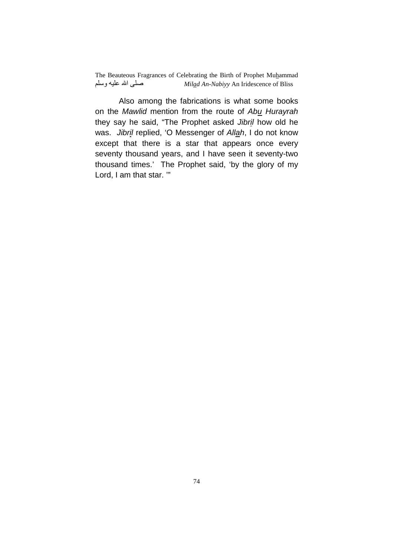Also among the fabrications is what some books on the Mawlid mention from the route of Abu Hurayrah they say he said, "The Prophet asked Jibril how old he was. Jibril replied, 'O Messenger of Allah, I do not know except that there is a star that appears once every seventy thousand years, and I have seen it seventy-two thousand times.' The Prophet said, 'by the glory of my Lord, I am that star. '"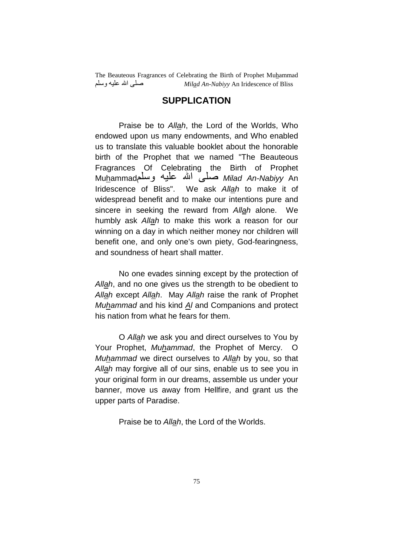## **SUPPLICATION**

 Praise be to Allah, the Lord of the Worlds, Who endowed upon us many endowments, and Who enabled us to translate this valuable booklet about the honorable birth of the Prophet that we named "The Beauteous Fragrances Of Celebrating the Birth of Prophet Mu<u>h</u>ammad صلّـيّ الله عليه وسلم Mu<u>h</u>ammad Iridescence of Bliss". We ask Allah to make it of widespread benefit and to make our intentions pure and sincere in seeking the reward from Allah alone. We humbly ask Allah to make this work a reason for our winning on a day in which neither money nor children will benefit one, and only one's own piety, God-fearingness, and soundness of heart shall matter.

 No one evades sinning except by the protection of Allah, and no one gives us the strength to be obedient to Allah except Allah. May Allah raise the rank of Prophet Muhammad and his kind Al and Companions and protect his nation from what he fears for them.

 O Allah we ask you and direct ourselves to You by Your Prophet, Muhammad, the Prophet of Mercy. O Muhammad we direct ourselves to Allah by you, so that Allah may forgive all of our sins, enable us to see you in your original form in our dreams, assemble us under your banner, move us away from Hellfire, and grant us the upper parts of Paradise.

Praise be to Allah, the Lord of the Worlds.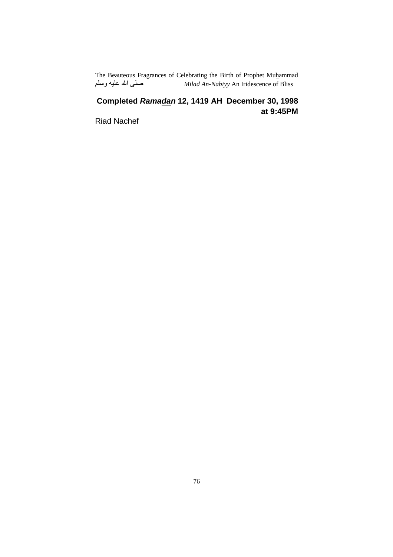## **Completed Ramadan 12, 1419 AH December 30, 1998 at 9:45PM**

Riad Nachef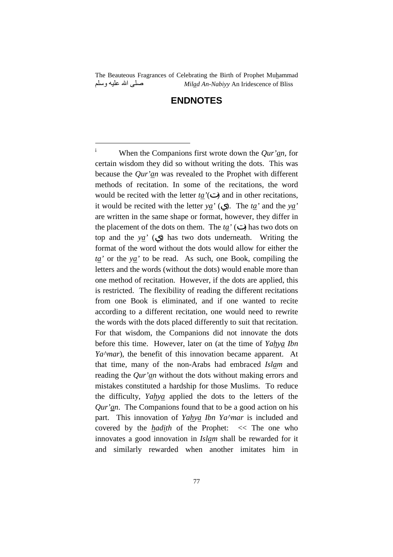## **ENDNOTES**

 $\overline{a}$ 

<sup>i</sup> When the Companions first wrote down the *Qur'an,* for certain wisdom they did so without writing the dots. This was because the *Qur'an* was revealed to the Prophet with different methods of recitation. In some of the recitations, the word would be recited with the letter *ta'*( ) and in other recitations, it would be recited with the letter *ya'* ( ). The *ta'* and the *ya'*  are written in the same shape or format, however, they differ in the placement of the dots on them. The  $t\underline{a}^{\prime}$  ( ) has two dots on top and the *ya'* ( ) has two dots underneath. Writing the format of the word without the dots would allow for either the *ta'* or the *ya'* to be read. As such, one Book, compiling the letters and the words (without the dots) would enable more than one method of recitation. However, if the dots are applied, this is restricted. The flexibility of reading the different recitations from one Book is eliminated, and if one wanted to recite according to a different recitation, one would need to rewrite the words with the dots placed differently to suit that recitation. For that wisdom, the Companions did not innovate the dots before this time. However, later on (at the time of *Yahya Ibn Ya^mar*), the benefit of this innovation became apparent. At that time, many of the non-Arabs had embraced *Islam* and reading the *Qur'an* without the dots without making errors and mistakes constituted a hardship for those Muslims. To reduce the difficulty, *Yahya* applied the dots to the letters of the *Qur'an*. The Companions found that to be a good action on his part. This innovation of *Yahya Ibn Ya^mar* is included and covered by the *hadith* of the Prophet: << The one who innovates a good innovation in *Islam* shall be rewarded for it and similarly rewarded when another imitates him in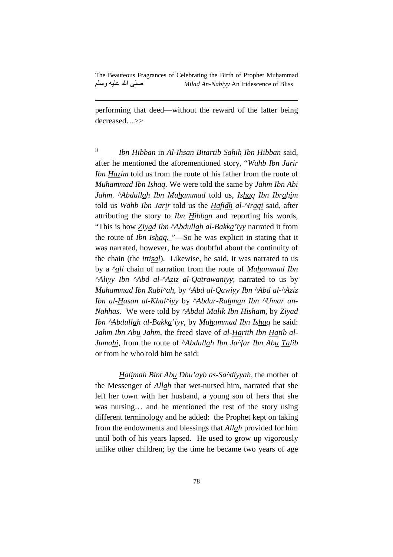performing that deed—without the reward of the latter being decreased…>>

l

ii *Ibn Hibban* in *Al-Ihsan Bitartib Sahih Ibn Hibban* said, after he mentioned the aforementioned story, "*Wahb Ibn Jarir Ibn Hazim* told us from the route of his father from the route of *Muhammad Ibn Ishaq*. We were told the same by *Jahm Ibn Abi Jahm*. *^Abdullah Ibn Muhammad* told us, *Ishaq Ibn Ibrahim*  told us *Wahb Ibn Jarir* told us the *Hafidh al-^Iraqi* said, after attributing the story to *Ibn Hibban* and reporting his words, "This is how *Ziyad Ibn ^Abdullah al-Bakka'iyy* narrated it from the route of *Ibn Ishaq.* "—So he was explicit in stating that it was narrated, however, he was doubtful about the continuity of the chain (the *ittisal*). Likewise, he said, it was narrated to us by a *^ali* chain of narration from the route of *Muhammad Ibn ^Aliyy Ibn ^Abd al-^Aziz al-Qatrawaniyy*; narrated to us by *Muhammad Ibn Rabi^ah*, by *^Abd al-Qawiyy Ibn ^Abd al-^Aziz Ibn al-Hasan al-Khal^iyy* by *^Abdur-Rahman Ibn ^Umar an-Nahhas*. We were told by *^Abdul Malik Ibn Hisham*, by *Ziyad Ibn ^Abdullah al-Bakka'iyy*, by *Muhammad Ibn Ishaq* he said: *Jahm Ibn Abu Jahm*, the freed slave of *al-Harith Ibn Hatib al-Jumahi*, from the route of *^Abdullah Ibn Ja^far Ibn Abu Talib*  or from he who told him he said:

*Halimah Bint Abu Dhu'ayb as-Sa^diyyah*, the mother of the Messenger of *Allah* that wet-nursed him, narrated that she left her town with her husband, a young son of hers that she was nursing… and he mentioned the rest of the story using different terminology and he added: the Prophet kept on taking from the endowments and blessings that *Allah* provided for him until both of his years lapsed. He used to grow up vigorously unlike other children; by the time he became two years of age